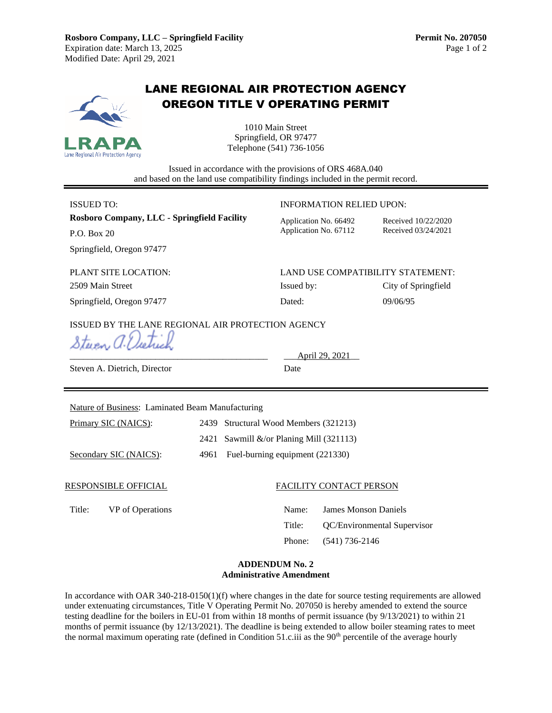

# LANE REGIONAL AIR PROTECTION AGENCY OREGON TITLE V OPERATING PERMIT

1010 Main Street Springfield, OR 97477 Telephone (541) 736-1056

Issued in accordance with the provisions of ORS 468A.040 and based on the land use compatibility findings included in the permit record.

**Rosboro Company, LLC - Springfield Facility** Application No. 66492 Received 10/22/2020

**INFORMATION RELIED UPON: INFORMATION RELIED UPON:** 

P.O. Box 20 Application No. 67112 Received 03/24/2021

Springfield, Oregon 97477

PLANT SITE LOCATION: LAND USE COMPATIBILITY STATEMENT: 2509 Main Street **Issued by:** City of Springfield

Springfield, Oregon 97477 Dated: 09/06/95

## ISSUED BY THE LANE REGIONAL AIR PROTECTION AGENCY

Steven a.E

Steven A. Dietrich, Director Date

April 29, 2021

Nature of Business: Laminated Beam Manufacturing

Primary SIC (NAICS): 2439 Structural Wood Members (321213)

2421 Sawmill &/or Planing Mill (321113)

Secondary SIC (NAICS): 4961 Fuel-burning equipment (221330)

## RESPONSIBLE OFFICIAL FACILITY CONTACT PERSON

Title: VP of Operations Name: James Monson Daniels Title: QC/Environmental Supervisor Phone: (541) 736-2146

#### **ADDENDUM No. 2 Administrative Amendment**

In accordance with OAR 340-218-0150(1)(f) where changes in the date for source testing requirements are allowed under extenuating circumstances, Title V Operating Permit No. 207050 is hereby amended to extend the source testing deadline for the boilers in EU-01 from within 18 months of permit issuance (by 9/13/2021) to within 21 months of permit issuance (by 12/13/2021). The deadline is being extended to allow boiler steaming rates to meet the normal maximum operating rate (defined in Condition 51.c.iii as the 90<sup>th</sup> percentile of the average hourly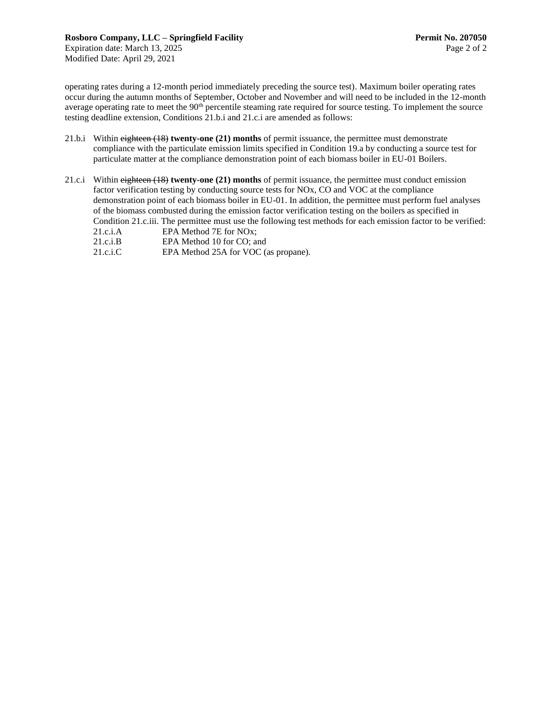operating rates during a 12-month period immediately preceding the source test). Maximum boiler operating rates occur during the autumn months of September, October and November and will need to be included in the 12-month average operating rate to meet the 90<sup>th</sup> percentile steaming rate required for source testing. To implement the source testing deadline extension, Conditions 21.b.i and 21.c.i are amended as follows:

- 21.b.i Within eighteen (18) **twenty-one (21) months** of permit issuance, the permittee must demonstrate compliance with the particulate emission limits specified in Condition 19.a by conducting a source test for particulate matter at the compliance demonstration point of each biomass boiler in EU-01 Boilers.
- 21.c.i Within eighteen (18) **twenty-one (21) months** of permit issuance, the permittee must conduct emission factor verification testing by conducting source tests for NOx, CO and VOC at the compliance demonstration point of each biomass boiler in EU-01. In addition, the permittee must perform fuel analyses of the biomass combusted during the emission factor verification testing on the boilers as specified in Condition 21.c.iii. The permittee must use the following test methods for each emission factor to be verified: 21.c.i.A EPA Method 7E for NOx;
	- 21.c.i.B EPA Method 10 for CO; and
	- 21.c.i.C EPA Method 25A for VOC (as propane).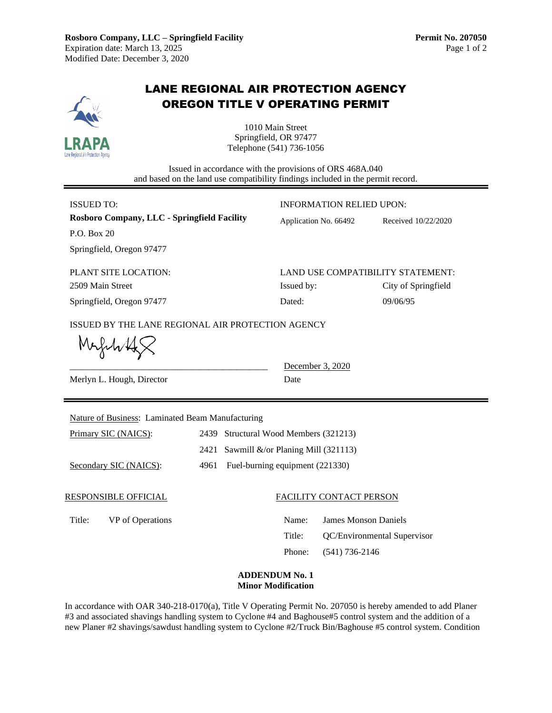

In accordance with OAR 340-218-0170(a), Title V Operating Permit No. 207050 is hereby amended to add Planer #3 and associated shavings handling system to Cyclone #4 and Baghouse#5 control system and the addition of a new Planer #2 shavings/sawdust handling system to Cyclone #2/Truck Bin/Baghouse #5 control system. Condition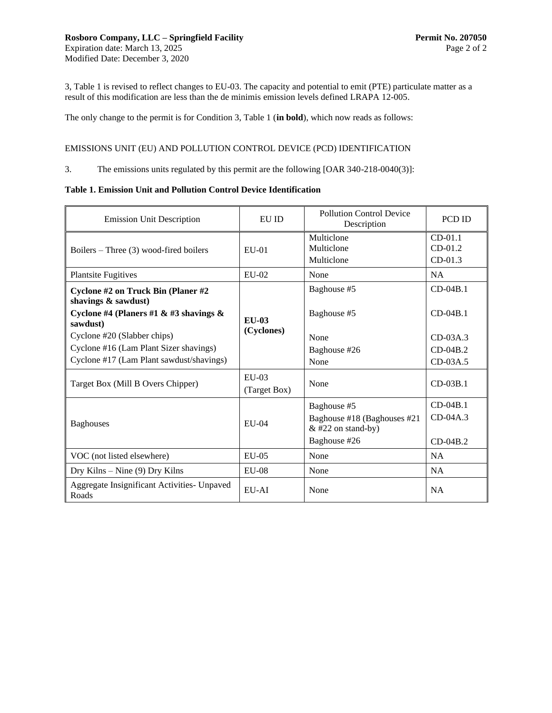3, Table 1 is revised to reflect changes to EU-03. The capacity and potential to emit (PTE) particulate matter as a result of this modification are less than the de minimis emission levels defined LRAPA 12-005.

The only change to the permit is for Condition 3, Table 1 (**in bold**), which now reads as follows:

## EMISSIONS UNIT (EU) AND POLLUTION CONTROL DEVICE (PCD) IDENTIFICATION

3. The emissions units regulated by this permit are the following [OAR 340-218-0040(3)]:

#### **Table 1. Emission Unit and Pollution Control Device Identification**

| <b>EU ID</b><br><b>Emission Unit Description</b>          |                         | <b>Pollution Control Device</b><br>Description                                                                                                                                                                                                                                                                                                           | PCD ID     |  |
|-----------------------------------------------------------|-------------------------|----------------------------------------------------------------------------------------------------------------------------------------------------------------------------------------------------------------------------------------------------------------------------------------------------------------------------------------------------------|------------|--|
| Boilers – Three $(3)$ wood-fired boilers                  | $E$ U-01                | Multiclone<br>Multiclone<br>Multiclone                                                                                                                                                                                                                                                                                                                   |            |  |
| <b>Plantsite Fugitives</b>                                | $EU-02$                 | None                                                                                                                                                                                                                                                                                                                                                     | <b>NA</b>  |  |
| Cyclone #2 on Truck Bin (Planer #2<br>shavings & sawdust) |                         | Baghouse #5                                                                                                                                                                                                                                                                                                                                              | $CD-04B.1$ |  |
| Cyclone #4 (Planers #1 & #3 shavings &<br>sawdust)        | <b>EU-03</b>            | $CD-01.1$<br>$CD-01.2$<br>$CD-01.3$<br>$CD-04B.1$<br>Baghouse #5<br>$CD-03A.3$<br>None<br>$CD-04B.2$<br>Baghouse #26<br>$CD-03A.5$<br>None<br>None<br>$CD-03B.1$<br>$CD-04B.1$<br>Baghouse #5<br>$CD-04A.3$<br>Baghouse #18 (Baghouses #21<br>$&$ #22 on stand-by)<br>Baghouse #26<br>$CD-04B.2$<br>NA<br>None<br><b>NA</b><br>None<br><b>NA</b><br>None |            |  |
| Cyclone #20 (Slabber chips)                               | (Cyclones)              |                                                                                                                                                                                                                                                                                                                                                          |            |  |
| Cyclone #16 (Lam Plant Sizer shavings)                    |                         |                                                                                                                                                                                                                                                                                                                                                          |            |  |
| Cyclone #17 (Lam Plant sawdust/shavings)                  |                         |                                                                                                                                                                                                                                                                                                                                                          |            |  |
| Target Box (Mill B Overs Chipper)                         | $EU-03$<br>(Target Box) |                                                                                                                                                                                                                                                                                                                                                          |            |  |
|                                                           |                         |                                                                                                                                                                                                                                                                                                                                                          |            |  |
| <b>Baghouses</b>                                          | $E$ U-04                |                                                                                                                                                                                                                                                                                                                                                          |            |  |
|                                                           |                         |                                                                                                                                                                                                                                                                                                                                                          |            |  |
| VOC (not listed elsewhere)                                | $EU-05$                 |                                                                                                                                                                                                                                                                                                                                                          |            |  |
| Dry Kilns – Nine $(9)$ Dry Kilns                          | $EU-08$                 |                                                                                                                                                                                                                                                                                                                                                          |            |  |
| Aggregate Insignificant Activities- Unpaved<br>Roads      | $EU-AI$                 |                                                                                                                                                                                                                                                                                                                                                          |            |  |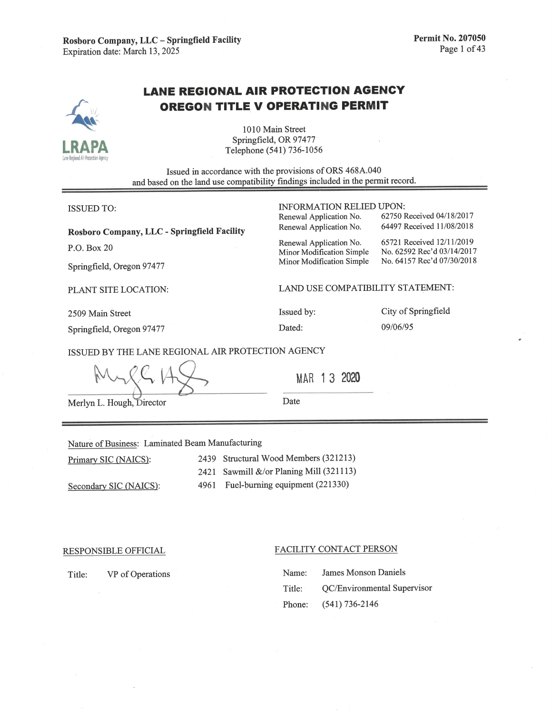Rosboro Company, LLC - Springfield Facility Expiration date: March 13, 2025

# **LANE REGIONAL AIR PROTECTION AGENCY OREGON TITLE V OPERATING PERMIT**

1010 Main Street Springfield, OR 97477 Telephone (541) 736-1056

Issued in accordance with the provisions of ORS 468A.040 and based on the land use compatibility findings included in the permit record.

| <b>ISSUED TO:</b> |  |
|-------------------|--|
|-------------------|--|

Rosboro Company, LLC - Springfield Facility

P.O. Box 20

Springfield, Oregon 97477

PLANT SITE LOCATION:

2509 Main Street

Springfield, Oregon 97477

LAND USE COMPATIBILITY STATEMENT:

**INFORMATION RELIED UPON:** 

Renewal Application No. Renewal Application No.

Renewal Application No.

Minor Modification Simple

Minor Modification Simple

Issued by: Dated:

City of Springfield 09/06/95

62750 Received 04/18/2017

64497 Received 11/08/2018

65721 Received 12/11/2019

No. 62592 Rec'd 03/14/2017

No. 64157 Rec'd 07/30/2018

ISSUED BY THE LANE REGIONAL AIR PROTECTION AGENCY

MAR 13 2020

Merlyn L. Hough, Director

Date

#### Nature of Business: Laminated Beam Manufacturing

Primary SIC (NAICS):

2439 Structural Wood Members (321213)

Secondary SIC (NAICS):

2421 Sawmill &/or Planing Mill (321113) 4961 Fuel-burning equipment (221330)

RESPONSIBLE OFFICIAL

VP of Operations

Title:

#### FACILITY CONTACT PERSON

| Name:  | James Monson Daniels        |
|--------|-----------------------------|
| Title: | OC/Environmental Supervisor |
|        | Phone: $(541)$ 736-2146     |

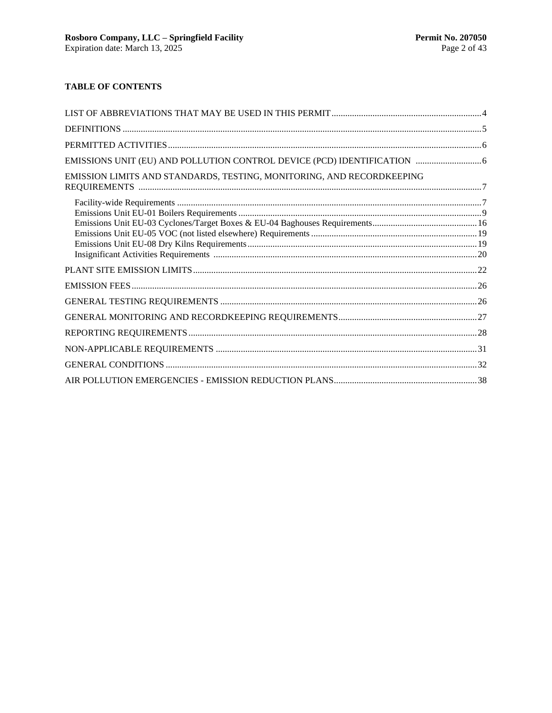## **TABLE OF CONTENTS**

| EMISSIONS UNIT (EU) AND POLLUTION CONTROL DEVICE (PCD) IDENTIFICATION  6 |  |
|--------------------------------------------------------------------------|--|
| EMISSION LIMITS AND STANDARDS, TESTING, MONITORING, AND RECORDKEEPING    |  |
|                                                                          |  |
|                                                                          |  |
|                                                                          |  |
|                                                                          |  |
|                                                                          |  |
|                                                                          |  |
|                                                                          |  |
|                                                                          |  |
|                                                                          |  |
|                                                                          |  |
|                                                                          |  |
|                                                                          |  |
|                                                                          |  |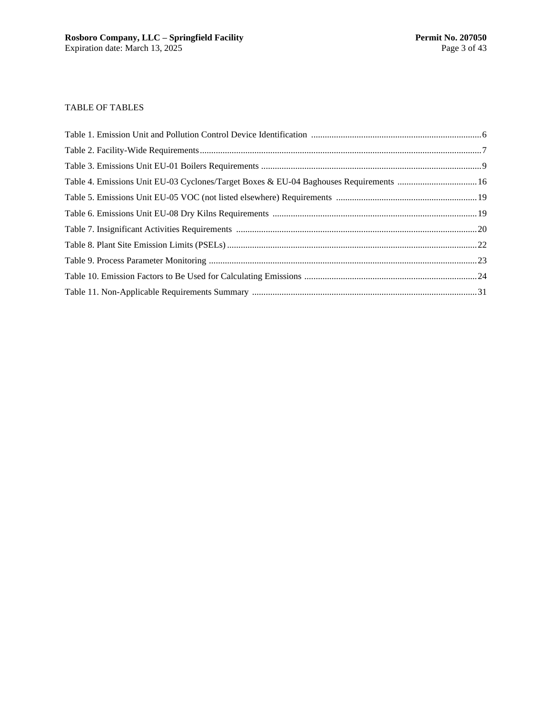### TABLE OF TABLES

| Table 4. Emissions Unit EU-03 Cyclones/Target Boxes & EU-04 Baghouses Requirements  16 |  |
|----------------------------------------------------------------------------------------|--|
|                                                                                        |  |
|                                                                                        |  |
|                                                                                        |  |
|                                                                                        |  |
|                                                                                        |  |
|                                                                                        |  |
|                                                                                        |  |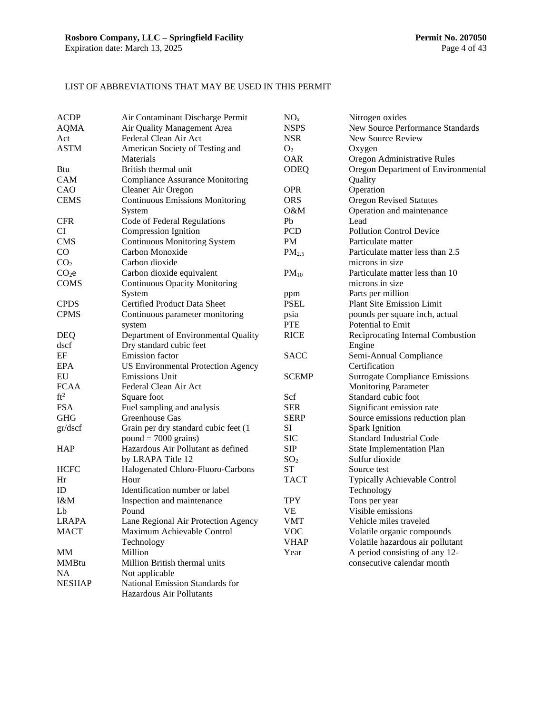## LIST OF ABBREVIATIONS THAT MAY BE USED IN THIS PERMIT

| <b>ACDP</b>       | Air Contaminant Discharge Permit          | NO <sub>x</sub>   | Nitrogen oxides                       |
|-------------------|-------------------------------------------|-------------------|---------------------------------------|
| <b>AQMA</b>       | Air Quality Management Area               | <b>NSPS</b>       | New Source Performance Standards      |
| Act               | Federal Clean Air Act                     | <b>NSR</b>        | New Source Review                     |
| <b>ASTM</b>       | American Society of Testing and           | O <sub>2</sub>    | Oxygen                                |
|                   | Materials                                 | <b>OAR</b>        |                                       |
|                   | British thermal unit                      |                   | Oregon Administrative Rules           |
| Btu               |                                           | <b>ODEQ</b>       | Oregon Department of Environmental    |
| <b>CAM</b>        | <b>Compliance Assurance Monitoring</b>    |                   | Quality                               |
| CAO               | Cleaner Air Oregon                        | <b>OPR</b>        | Operation                             |
| <b>CEMS</b>       | <b>Continuous Emissions Monitoring</b>    | <b>ORS</b>        | <b>Oregon Revised Statutes</b>        |
|                   | System                                    | O&M               | Operation and maintenance             |
| <b>CFR</b>        | Code of Federal Regulations               | Pb                | Lead                                  |
| <b>CI</b>         | Compression Ignition                      | <b>PCD</b>        | <b>Pollution Control Device</b>       |
| <b>CMS</b>        | <b>Continuous Monitoring System</b>       | <b>PM</b>         | Particulate matter                    |
| $\rm CO$          | Carbon Monoxide                           | PM <sub>2.5</sub> | Particulate matter less than 2.5      |
| CO <sub>2</sub>   | Carbon dioxide                            |                   | microns in size                       |
| CO <sub>2</sub> e | Carbon dioxide equivalent                 | $PM_{10}$         | Particulate matter less than 10       |
| <b>COMS</b>       | <b>Continuous Opacity Monitoring</b>      |                   | microns in size                       |
|                   | System                                    | ppm               | Parts per million                     |
| <b>CPDS</b>       | <b>Certified Product Data Sheet</b>       | <b>PSEL</b>       | <b>Plant Site Emission Limit</b>      |
| <b>CPMS</b>       | Continuous parameter monitoring           | psia              | pounds per square inch, actual        |
|                   | system                                    | <b>PTE</b>        | Potential to Emit                     |
| <b>DEQ</b>        | Department of Environmental Quality       | <b>RICE</b>       | Reciprocating Internal Combustion     |
| dscf              | Dry standard cubic feet                   |                   | Engine                                |
| $\rm EF$          | Emission factor                           | <b>SACC</b>       | Semi-Annual Compliance                |
| <b>EPA</b>        | <b>US Environmental Protection Agency</b> |                   | Certification                         |
| EU                | <b>Emissions Unit</b>                     | <b>SCEMP</b>      | <b>Surrogate Compliance Emissions</b> |
| <b>FCAA</b>       | Federal Clean Air Act                     |                   | <b>Monitoring Parameter</b>           |
| ft <sup>2</sup>   | Square foot                               | Scf               | Standard cubic foot                   |
| <b>FSA</b>        | Fuel sampling and analysis                | <b>SER</b>        | Significant emission rate             |
| <b>GHG</b>        | Greenhouse Gas                            | <b>SERP</b>       | Source emissions reduction plan       |
| gr/dscf           | Grain per dry standard cubic feet (1      | SI                | <b>Spark Ignition</b>                 |
|                   | $pound = 7000 \text{ grains}$             | <b>SIC</b>        | Standard Industrial Code              |
| <b>HAP</b>        | Hazardous Air Pollutant as defined        | <b>SIP</b>        | <b>State Implementation Plan</b>      |
|                   |                                           |                   |                                       |
|                   | by LRAPA Title 12                         | SO <sub>2</sub>   | Sulfur dioxide                        |
| <b>HCFC</b>       | Halogenated Chloro-Fluoro-Carbons         | <b>ST</b>         | Source test                           |
| Hr                | Hour                                      | <b>TACT</b>       | <b>Typically Achievable Control</b>   |
| ID                | Identification number or label            |                   | Technology                            |
| I&M               | Inspection and maintenance                | <b>TPY</b>        | Tons per year                         |
| Lb                | Pound                                     | <b>VE</b>         | Visible emissions                     |
| <b>LRAPA</b>      | Lane Regional Air Protection Agency       | VMT               | Vehicle miles traveled                |
| <b>MACT</b>       | Maximum Achievable Control                | <b>VOC</b>        | Volatile organic compounds            |
|                   | Technology                                | <b>VHAP</b>       | Volatile hazardous air pollutant      |
| MM                | Million                                   | Year              | A period consisting of any 12-        |
| <b>MMBtu</b>      | Million British thermal units             |                   | consecutive calendar month            |
| NA                | Not applicable                            |                   |                                       |
| <b>NESHAP</b>     | National Emission Standards for           |                   |                                       |
|                   | Hazardous Air Pollutants                  |                   |                                       |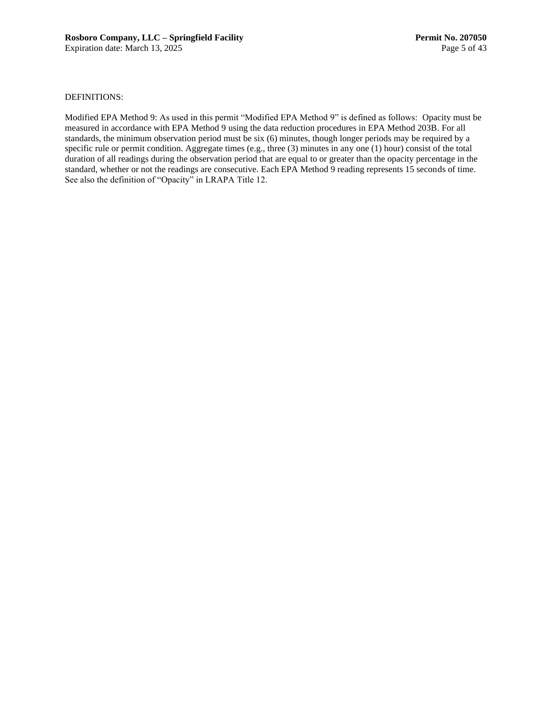#### DEFINITIONS:

Modified EPA Method 9: As used in this permit "Modified EPA Method 9" is defined as follows: Opacity must be measured in accordance with EPA Method 9 using the data reduction procedures in EPA Method 203B. For all standards, the minimum observation period must be six (6) minutes, though longer periods may be required by a specific rule or permit condition. Aggregate times (e.g., three (3) minutes in any one (1) hour) consist of the total duration of all readings during the observation period that are equal to or greater than the opacity percentage in the standard, whether or not the readings are consecutive. Each EPA Method 9 reading represents 15 seconds of time. See also the definition of "Opacity" in LRAPA Title 12.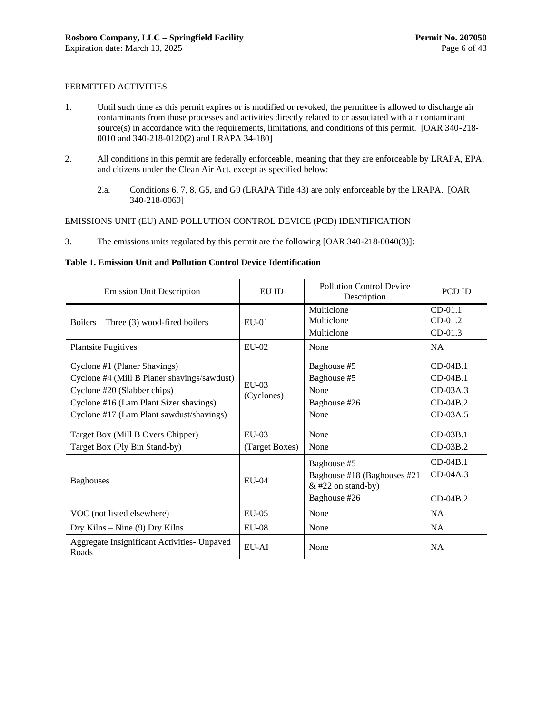#### PERMITTED ACTIVITIES

- <span id="page-9-0"></span>1. Until such time as this permit expires or is modified or revoked, the permittee is allowed to discharge air contaminants from those processes and activities directly related to or associated with air contaminant source(s) in accordance with the requirements, limitations, and conditions of this permit. [OAR 340-218-0010 and 340-218-0120(2) and LRAPA 34-180]
- 2. All conditions in this permit are federally enforceable, meaning that they are enforceable by LRAPA, EPA, and citizens under the Clean Air Act, except as specified below:
	- 2.a. Conditions [6,](#page-11-0) [7,](#page-11-1) [8,](#page-11-2) G5, and G9 (LRAPA Title 43) are only enforceable by the LRAPA. [OAR 340-218-0060]

#### EMISSIONS UNIT (EU) AND POLLUTION CONTROL DEVICE (PCD) IDENTIFICATION

<span id="page-9-1"></span>3. The emissions units regulated by this permit are the following [OAR 340-218-0040(3)]:

**Table 1. Emission Unit and Pollution Control Device Identification**

| <b>Emission Unit Description</b>                                                                                                                                                                 | EU ID                     | <b>Pollution Control Device</b><br>Description                                     | PCD ID                                                             |
|--------------------------------------------------------------------------------------------------------------------------------------------------------------------------------------------------|---------------------------|------------------------------------------------------------------------------------|--------------------------------------------------------------------|
| Boilers – Three $(3)$ wood-fired boilers                                                                                                                                                         | $EU-01$                   | Multiclone<br>Multiclone<br>Multiclone                                             |                                                                    |
| <b>Plantsite Fugitives</b>                                                                                                                                                                       | $EU-02$                   | None                                                                               | <b>NA</b>                                                          |
| Cyclone #1 (Planer Shavings)<br>Cyclone #4 (Mill B Planer shavings/sawdust)<br>Cyclone #20 (Slabber chips)<br>Cyclone #16 (Lam Plant Sizer shavings)<br>Cyclone #17 (Lam Plant sawdust/shavings) | $EII-03$<br>(Cyclones)    | Baghouse #5<br>Baghouse #5<br>None<br>Baghouse #26<br>None                         | $CD-04B.1$<br>$CD-04B.1$<br>$CD-03A.3$<br>$CD-04B.2$<br>$CD-03A.5$ |
| Target Box (Mill B Overs Chipper)<br>Target Box (Ply Bin Stand-by)                                                                                                                               | $EU-03$<br>(Target Boxes) | None<br>None                                                                       | $CD-03B.1$<br>$CD-03B.2$                                           |
| <b>Baghouses</b>                                                                                                                                                                                 | $E$ U-04                  | Baghouse #5<br>Baghouse #18 (Baghouses #21<br>$&$ #22 on stand-by)<br>Baghouse #26 | $CD-04B.1$<br>$CD-04A.3$<br>$CD-04B.2$                             |
| VOC (not listed elsewhere)                                                                                                                                                                       | $EU-05$                   | None                                                                               | NA                                                                 |
| Dry Kilns $-$ Nine (9) Dry Kilns                                                                                                                                                                 | $E$ U-08                  | None                                                                               | <b>NA</b>                                                          |
| Aggregate Insignificant Activities- Unpaved<br>Roads                                                                                                                                             | $EU-AI$                   | None                                                                               | <b>NA</b>                                                          |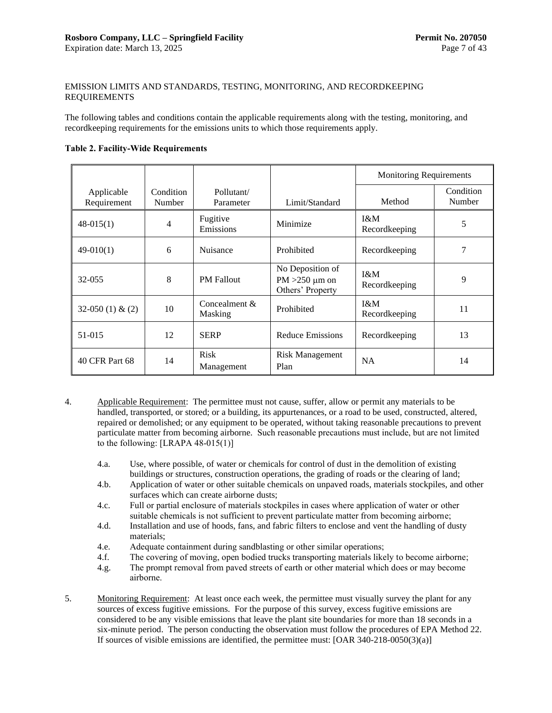#### EMISSION LIMITS AND STANDARDS, TESTING, MONITORING, AND RECORDKEEPING REQUIREMENTS

The following tables and conditions contain the applicable requirements along with the testing, monitoring, and recordkeeping requirements for the emissions units to which those requirements apply.

#### **Table 2. Facility-Wide Requirements**

|                           |                     |                           |                                                             | <b>Monitoring Requirements</b> |                     |
|---------------------------|---------------------|---------------------------|-------------------------------------------------------------|--------------------------------|---------------------|
| Applicable<br>Requirement | Condition<br>Number | Pollutant/<br>Parameter   | Limit/Standard                                              | Method                         | Condition<br>Number |
| $48-015(1)$               | 4                   | Fugitive<br>Emissions     | Minimize                                                    | $1\&M$<br>Recordkeeping        | 5                   |
| $49-010(1)$               | 6                   | Nuisance                  | Prohibited                                                  | Recordkeeping                  | 7                   |
| 32-055                    | 8                   | <b>PM</b> Fallout         | No Deposition of<br>$PM > 250 \mu m$ on<br>Others' Property | $1\&M$<br>Recordkeeping        | 9                   |
| $32-050(1) & (2)$         | 10                  | Concealment &<br>Masking  | Prohibited                                                  | $1\&M$<br>Recordkeeping        | 11                  |
| 51-015                    | 12                  | <b>SERP</b>               | Reduce Emissions                                            | Recordkeeping                  | 13                  |
| 40 CFR Part 68            | 14                  | <b>Risk</b><br>Management | <b>Risk Management</b><br>Plan                              | <b>NA</b>                      | 14                  |

- <span id="page-10-0"></span>4. Applicable Requirement: The permittee must not cause, suffer, allow or permit any materials to be handled, transported, or stored; or a building, its appurtenances, or a road to be used, constructed, altered, repaired or demolished; or any equipment to be operated, without taking reasonable precautions to prevent particulate matter from becoming airborne. Such reasonable precautions must include, but are not limited to the following:  $[LRAPA 48-015(1)]$ 
	- 4.a. Use, where possible, of water or chemicals for control of dust in the demolition of existing buildings or structures, construction operations, the grading of roads or the clearing of land;
	- 4.b. Application of water or other suitable chemicals on unpaved roads, materials stockpiles, and other surfaces which can create airborne dusts;
	- 4.c. Full or partial enclosure of materials stockpiles in cases where application of water or other suitable chemicals is not sufficient to prevent particulate matter from becoming airborne;
	- 4.d. Installation and use of hoods, fans, and fabric filters to enclose and vent the handling of dusty materials;
	- 4.e. Adequate containment during sandblasting or other similar operations;
	- 4.f. The covering of moving, open bodied trucks transporting materials likely to become airborne;
	- 4.g. The prompt removal from paved streets of earth or other material which does or may become airborne.
- <span id="page-10-1"></span>5. Monitoring Requirement: At least once each week, the permittee must visually survey the plant for any sources of excess fugitive emissions. For the purpose of this survey, excess fugitive emissions are considered to be any visible emissions that leave the plant site boundaries for more than 18 seconds in a six-minute period. The person conducting the observation must follow the procedures of EPA Method 22. If sources of visible emissions are identified, the permittee must: [OAR 340-218-0050(3)(a)]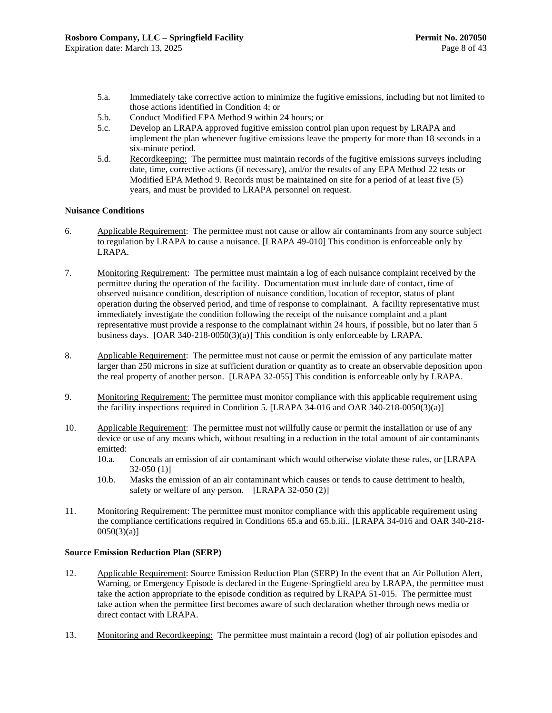- 5.a. Immediately take corrective action to minimize the fugitive emissions, including but not limited to those actions identified in Condition [4;](#page-10-0) or
- 5.b. Conduct Modified EPA Method 9 within 24 hours; or
- 5.c. Develop an LRAPA approved fugitive emission control plan upon request by LRAPA and implement the plan whenever fugitive emissions leave the property for more than 18 seconds in a six-minute period.
- 5.d. Recordkeeping: The permittee must maintain records of the fugitive emissions surveys including date, time, corrective actions (if necessary), and/or the results of any EPA Method 22 tests or Modified EPA Method 9. Records must be maintained on site for a period of at least five (5) years, and must be provided to LRAPA personnel on request.

#### **Nuisance Conditions**

- <span id="page-11-0"></span>6. Applicable Requirement: The permittee must not cause or allow air contaminants from any source subject to regulation by LRAPA to cause a nuisance. [LRAPA 49-010] This condition is enforceable only by LRAPA.
- <span id="page-11-1"></span>7. Monitoring Requirement: The permittee must maintain a log of each nuisance complaint received by the permittee during the operation of the facility. Documentation must include date of contact, time of observed nuisance condition, description of nuisance condition, location of receptor, status of plant operation during the observed period, and time of response to complainant. A facility representative must immediately investigate the condition following the receipt of the nuisance complaint and a plant representative must provide a response to the complainant within 24 hours, if possible, but no later than 5 business days. [OAR 340-218-0050(3)(a)] This condition is only enforceable by LRAPA.
- <span id="page-11-2"></span>8. Applicable Requirement: The permittee must not cause or permit the emission of any particulate matter larger than 250 microns in size at sufficient duration or quantity as to create an observable deposition upon the real property of another person. [LRAPA 32-055] This condition is enforceable only by LRAPA.
- <span id="page-11-3"></span>9. Monitoring Requirement: The permittee must monitor compliance with this applicable requirement using the facility inspections required in Condition [5.](#page-10-1) [LRAPA 34-016 and OAR 340-218-0050(3)(a)]
- <span id="page-11-4"></span>10. Applicable Requirement: The permittee must not willfully cause or permit the installation or use of any device or use of any means which, without resulting in a reduction in the total amount of air contaminants emitted:
	- 10.a. Conceals an emission of air contaminant which would otherwise violate these rules, or [LRAPA 32-050 (1)]
	- 10.b. Masks the emission of an air contaminant which causes or tends to cause detriment to health, safety or welfare of any person. [LRAPA 32-050 (2)]
- <span id="page-11-5"></span>11. Monitoring Requirement: The permittee must monitor compliance with this applicable requirement using the compliance certifications required in Conditions [65.a](#page-32-0) and [65.b.iii.](#page-32-1). [LRAPA 34-016 and OAR 340-218-  $0050(3)(a)$ ]

#### **Source Emission Reduction Plan (SERP)**

- <span id="page-11-6"></span>12. Applicable Requirement: Source Emission Reduction Plan (SERP) In the event that an Air Pollution Alert, Warning, or Emergency Episode is declared in the Eugene-Springfield area by LRAPA, the permittee must take the action appropriate to the episode condition as required by LRAPA 51-015. The permittee must take action when the permittee first becomes aware of such declaration whether through news media or direct contact with LRAPA.
- <span id="page-11-7"></span>13. Monitoring and Recordkeeping: The permittee must maintain a record (log) of air pollution episodes and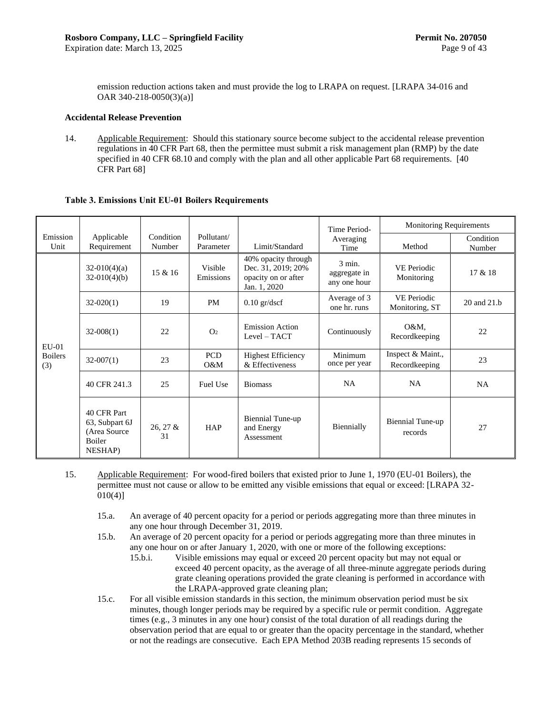emission reduction actions taken and must provide the log to LRAPA on request. [LRAPA 34-016 and OAR 340-218-0050(3)(a)]

#### **Accidental Release Prevention**

<span id="page-12-1"></span>14. Applicable Requirement: Should this stationary source become subject to the accidental release prevention regulations in 40 CFR Part 68, then the permittee must submit a risk management plan (RMP) by the date specified in 40 CFR 68.10 and comply with the plan and all other applicable Part 68 requirements. [40] CFR Part 68]

|                       |                                                                     |                     |                         |                                                                                  | Time Period-                             | <b>Monitoring Requirements</b>     |                     |
|-----------------------|---------------------------------------------------------------------|---------------------|-------------------------|----------------------------------------------------------------------------------|------------------------------------------|------------------------------------|---------------------|
| Emission<br>Unit      | Applicable<br>Requirement                                           | Condition<br>Number | Pollutant/<br>Parameter | Limit/Standard                                                                   | Averaging<br>Time                        | Method                             | Condition<br>Number |
|                       | $32-010(4)(a)$<br>$32-010(4)(b)$                                    | 15 & 16             | Visible<br>Emissions    | 40% opacity through<br>Dec. 31, 2019; 20%<br>opacity on or after<br>Jan. 1, 2020 | $3$ min.<br>aggregate in<br>any one hour | VE Periodic<br>Monitoring          | 17 & 18             |
|                       | $32-020(1)$                                                         | 19                  | <b>PM</b>               | $0.10$ gr/dscf                                                                   | Average of 3<br>one hr. runs             | VE Periodic<br>Monitoring, ST      | 20 and 21.b         |
| EU-01                 | $32-008(1)$                                                         | 22                  | O <sub>2</sub>          | <b>Emission Action</b><br>Level - TACT                                           | Continuously                             | O&M,<br>Recordkeeping              | 22                  |
| <b>Boilers</b><br>(3) | $32-007(1)$                                                         | 23                  | <b>PCD</b><br>O&M       | <b>Highest Efficiency</b><br>& Effectiveness                                     | Minimum<br>once per year                 | Inspect & Maint.,<br>Recordkeeping | 23                  |
|                       | 40 CFR 241.3                                                        | 25                  | Fuel Use                | <b>Biomass</b>                                                                   | <b>NA</b>                                | <b>NA</b>                          | <b>NA</b>           |
|                       | 40 CFR Part<br>63, Subpart 6J<br>(Area Source)<br>Boiler<br>NESHAP) | $26, 27 \&$<br>31   | <b>HAP</b>              | Biennial Tune-up<br>and Energy<br>Assessment                                     | Biennially                               | Biennial Tune-up<br>records        | 27                  |

#### **Table 3. Emissions Unit EU-01 Boilers Requirements**

<span id="page-12-0"></span>15. Applicable Requirement: For wood-fired boilers that existed prior to June 1, 1970 (EU-01 Boilers), the permittee must not cause or allow to be emitted any visible emissions that equal or exceed: [LRAPA 32-  $010(4)$ ]

- 15.a. An average of 40 percent opacity for a period or periods aggregating more than three minutes in any one hour through December 31, 2019.
- <span id="page-12-2"></span>15.b. An average of 20 percent opacity for a period or periods aggregating more than three minutes in any one hour on or after January 1, 2020, with one or more of the following exceptions:
	- 15.b.i. Visible emissions may equal or exceed 20 percent opacity but may not equal or exceed 40 percent opacity, as the average of all three-minute aggregate periods during grate cleaning operations provided the grate cleaning is performed in accordance with the LRAPA-approved grate cleaning plan;
- 15.c. For all visible emission standards in this section, the minimum observation period must be six minutes, though longer periods may be required by a specific rule or permit condition. Aggregate times (e.g., 3 minutes in any one hour) consist of the total duration of all readings during the observation period that are equal to or greater than the opacity percentage in the standard, whether or not the readings are consecutive. Each EPA Method 203B reading represents 15 seconds of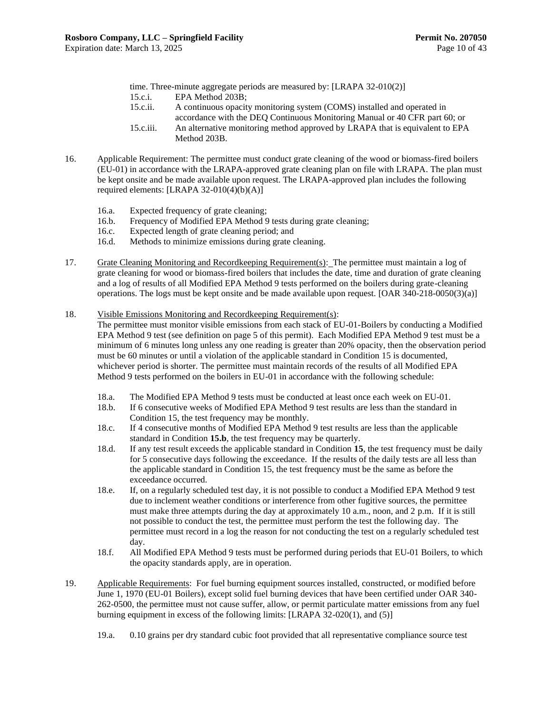time. Three-minute aggregate periods are measured by: [LRAPA 32-010(2)]

- 15.c.i. EPA Method 203B;
- 15.c.ii. A continuous opacity monitoring system (COMS) installed and operated in accordance with the DEQ Continuous Monitoring Manual or 40 CFR part 60; or
- 15.c.iii. An alternative monitoring method approved by LRAPA that is equivalent to EPA Method 203B.
- <span id="page-13-0"></span>16. Applicable Requirement: The permittee must conduct grate cleaning of the wood or biomass-fired boilers (EU-01) in accordance with the LRAPA-approved grate cleaning plan on file with LRAPA. The plan must be kept onsite and be made available upon request. The LRAPA-approved plan includes the following required elements: [LRAPA 32-010(4)(b)(A)]
	- 16.a. Expected frequency of grate cleaning;
	- 16.b. Frequency of Modified EPA Method 9 tests during grate cleaning;
	- 16.c. Expected length of grate cleaning period; and
	- 16.d. Methods to minimize emissions during grate cleaning.
- <span id="page-13-1"></span>17. Grate Cleaning Monitoring and Recordkeeping Requirement(s): The permittee must maintain a log of grate cleaning for wood or biomass-fired boilers that includes the date, time and duration of grate cleaning and a log of results of all Modified EPA Method 9 tests performed on the boilers during grate-cleaning operations. The logs must be kept onsite and be made available upon request. [OAR 340-218-0050(3)(a)]
- <span id="page-13-2"></span>18. Visible Emissions Monitoring and Recordkeeping Requirement(s):

The permittee must monitor visible emissions from each stack of EU-01-Boilers by conducting a Modified EPA Method 9 test (see definition on page 5 of this permit). Each Modified EPA Method 9 test must be a minimum of 6 minutes long unless any one reading is greater than 20% opacity, then the observation period must be 60 minutes or until a violation of the applicable standard in Conditio[n 15](#page-12-0) is documented, whichever period is shorter. The permittee must maintain records of the results of all Modified EPA Method 9 tests performed on the boilers in EU-01 in accordance with the following schedule:

- 18.a. The Modified EPA Method 9 tests must be conducted at least once each week on EU-01.
- 18.b. If 6 consecutive weeks of Modified EPA Method 9 test results are less than the standard in Condition [15,](#page-12-0) the test frequency may be monthly.
- 18.c. If 4 consecutive months of Modified EPA Method 9 test results are less than the applicable standard in Condition **[15.b](#page-12-2)**, the test frequency may be quarterly.
- 18.d. If any test result exceeds the applicable standard in Condition **[15](#page-12-0)**, the test frequency must be daily for 5 consecutive days following the exceedance. If the results of the daily tests are all less than the applicable standard in Condition [15,](#page-12-0) the test frequency must be the same as before the exceedance occurred.
- 18.e. If, on a regularly scheduled test day, it is not possible to conduct a Modified EPA Method 9 test due to inclement weather conditions or interference from other fugitive sources, the permittee must make three attempts during the day at approximately 10 a.m., noon, and 2 p.m. If it is still not possible to conduct the test, the permittee must perform the test the following day. The permittee must record in a log the reason for not conducting the test on a regularly scheduled test day.
- 18.f. All Modified EPA Method 9 tests must be performed during periods that EU-01 Boilers, to which the opacity standards apply, are in operation.
- <span id="page-13-4"></span><span id="page-13-3"></span>19. Applicable Requirements: For fuel burning equipment sources installed, constructed, or modified before June 1, 1970 (EU-01 Boilers), except solid fuel burning devices that have been certified under OAR 340- 262-0500, the permittee must not cause suffer, allow, or permit particulate matter emissions from any fuel burning equipment in excess of the following limits: [LRAPA 32-020(1), and (5)]
	- 19.a. 0.10 grains per dry standard cubic foot provided that all representative compliance source test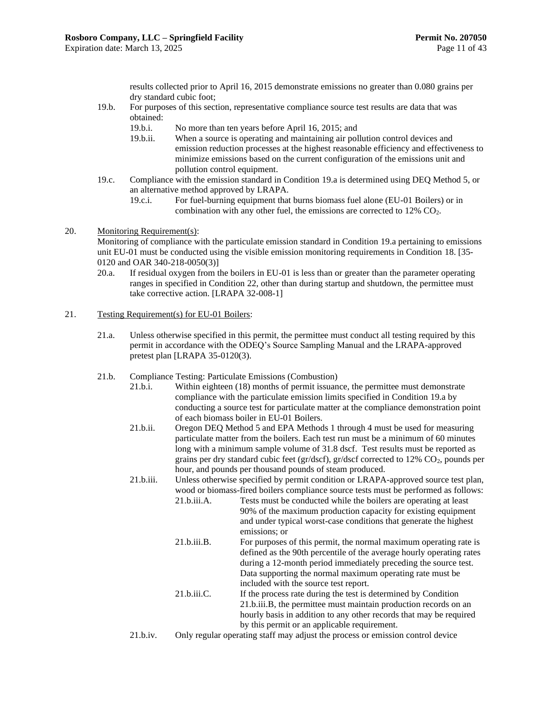results collected prior to April 16, 2015 demonstrate emissions no greater than 0.080 grains per dry standard cubic foot;

- 19.b. For purposes of this section, representative compliance source test results are data that was obtained:
	- 19.b.i. No more than ten years before April 16, 2015; and
	- 19.b.ii. When a source is operating and maintaining air pollution control devices and emission reduction processes at the highest reasonable efficiency and effectiveness to minimize emissions based on the current configuration of the emissions unit and pollution control equipment.
- 19.c. Compliance with the emission standard in Condition [19.a](#page-13-4) is determined using DEQ Method 5, or an alternative method approved by LRAPA.
	- 19.c.i. For fuel-burning equipment that burns biomass fuel alone (EU-01 Boilers) or in combination with any other fuel, the emissions are corrected to 12% CO<sub>2</sub>.

#### <span id="page-14-0"></span>20. Monitoring Requirement(s):

Monitoring of compliance with the particulate emission standard in Condition [19.a](#page-13-4) pertaining to emissions unit EU-01 must be conducted using the visible emission monitoring requirements in Condition [18.](#page-13-2) [35- 0120 and OAR 340-218-0050(3)]

- 20.a. If residual oxygen from the boilers in EU-01 is less than or greater than the parameter operating ranges in specified in Condition [22,](#page-16-0) other than during startup and shutdown, the permittee must take corrective action. [LRAPA 32-008-1]
- <span id="page-14-1"></span>21. Testing Requirement(s) for EU-01 Boilers:
	- 21.a. Unless otherwise specified in this permit, the permittee must conduct all testing required by this permit in accordance with the ODEQ's Source Sampling Manual and the LRAPA-approved pretest plan [LRAPA 35-0120(3).
	- 21.b. Compliance Testing: Particulate Emissions (Combustion)
		- 21.b.i. Within eighteen (18) months of permit issuance, the permittee must demonstrate compliance with the particulate emission limits specified in Condition [19.a](#page-13-4) by conducting a source test for particulate matter at the compliance demonstration point of each biomass boiler in EU-01 Boilers.
		- 21.b.ii. Oregon DEQ Method 5 and EPA Methods 1 through 4 must be used for measuring particulate matter from the boilers. Each test run must be a minimum of 60 minutes long with a minimum sample volume of 31.8 dscf. Test results must be reported as grains per dry standard cubic feet (gr/dscf), gr/dscf corrected to 12% CO<sub>2</sub>, pounds per hour, and pounds per thousand pounds of steam produced.

<span id="page-14-2"></span>21.b.iii. Unless otherwise specified by permit condition or LRAPA-approved source test plan, wood or biomass-fired boilers compliance source tests must be performed as follows:

- 21.b.iii.A. Tests must be conducted while the boilers are operating at least 90% of the maximum production capacity for existing equipment and under typical worst-case conditions that generate the highest emissions; or
- 21.b.iii.B. For purposes of this permit, the normal maximum operating rate is defined as the 90th percentile of the average hourly operating rates during a 12-month period immediately preceding the source test. Data supporting the normal maximum operating rate must be included with the source test report.
- 21.b.iii.C. If the process rate during the test is determined by Condition [21.b.iii.B,](#page-14-2) the permittee must maintain production records on an hourly basis in addition to any other records that may be required by this permit or an applicable requirement.
- 21.b.iv. Only regular operating staff may adjust the process or emission control device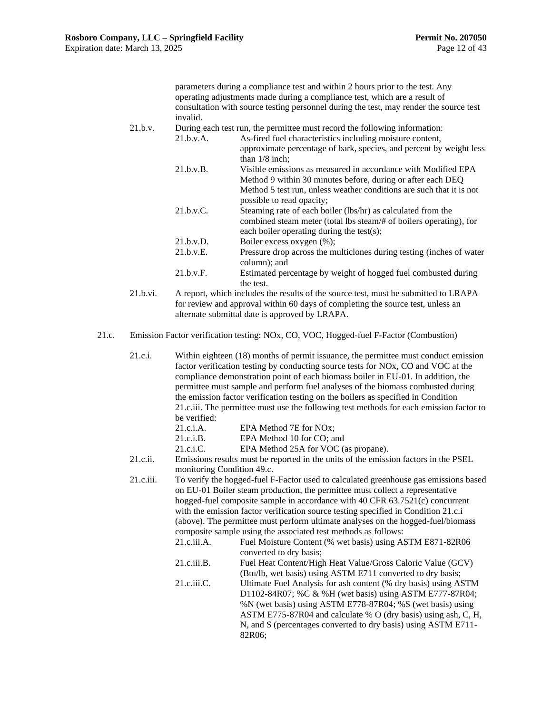parameters during a compliance test and within 2 hours prior to the test. Any operating adjustments made during a compliance test, which are a result of consultation with source testing personnel during the test, may render the source test invalid.

21.b.v. During each test run, the permittee must record the following information: 21.b.v.A. As-fired fuel characteristics including moisture content,

- approximate percentage of bark, species, and percent by weight less than 1/8 inch; 21.b.v.B. Visible emissions as measured in accordance with Modified EPA Method 9 within 30 minutes before, during or after each DEQ Method 5 test run, unless weather conditions are such that it is not possible to read opacity; 21.b.v.C. Steaming rate of each boiler (lbs/hr) as calculated from the combined steam meter (total lbs steam/# of boilers operating), for each boiler operating during the test(s); 21.b.v.D. Boiler excess oxygen (%);
	- 21.b.v.E. Pressure drop across the multiclones during testing (inches of water column); and
	- 21.b.v.F. Estimated percentage by weight of hogged fuel combusted during the test.
- 21.b.vi. A report, which includes the results of the source test, must be submitted to LRAPA for review and approval within 60 days of completing the source test, unless an alternate submittal date is approved by LRAPA.
- <span id="page-15-1"></span><span id="page-15-0"></span>21.c. Emission Factor verification testing: NOx, CO, VOC, Hogged-fuel F-Factor (Combustion)
	- 21.c.i. Within eighteen (18) months of permit issuance, the permittee must conduct emission factor verification testing by conducting source tests for NOx, CO and VOC at the compliance demonstration point of each biomass boiler in EU-01. In addition, the permittee must sample and perform fuel analyses of the biomass combusted during the emission factor verification testing on the boilers as specified in Condition [21.c.iii.](#page-15-0) The permittee must use the following test methods for each emission factor to be verified: 21.c.i.A. EPA Method 7E for NOx; 21.c.i.B. EPA Method 10 for CO; and 21.c.i.C. EPA Method 25A for VOC (as propane). 21.c.ii. Emissions results must be reported in the units of the emission factors in the PSEL monitoring Condition [49.c.](#page-27-0) 21.c.iii. To verify the hogged-fuel F-Factor used to calculated greenhouse gas emissions based on EU-01 Boiler steam production, the permittee must collect a representative hogged-fuel composite sample in accordance with 40 CFR 63.7521(c) concurrent with the emission factor verification source testing specified in Condition [21.c.i](#page-15-1) (above). The permittee must perform ultimate analyses on the hogged-fuel/biomass composite sample using the associated test methods as follows: 21.c.iii.A. Fuel Moisture Content (% wet basis) using ASTM E871-82R06 converted to dry basis; 21.c.iii.B. Fuel Heat Content/High Heat Value/Gross Caloric Value (GCV) (Btu/lb, wet basis) using ASTM E711 converted to dry basis; 21.c.iii.C. Ultimate Fuel Analysis for ash content (% dry basis) using ASTM D1102-84R07; %C & %H (wet basis) using ASTM E777-87R04; %N (wet basis) using ASTM E778-87R04; %S (wet basis) using ASTM E775-87R04 and calculate % O (dry basis) using ash, C, H, N, and S (percentages converted to dry basis) using ASTM E711- 82R06;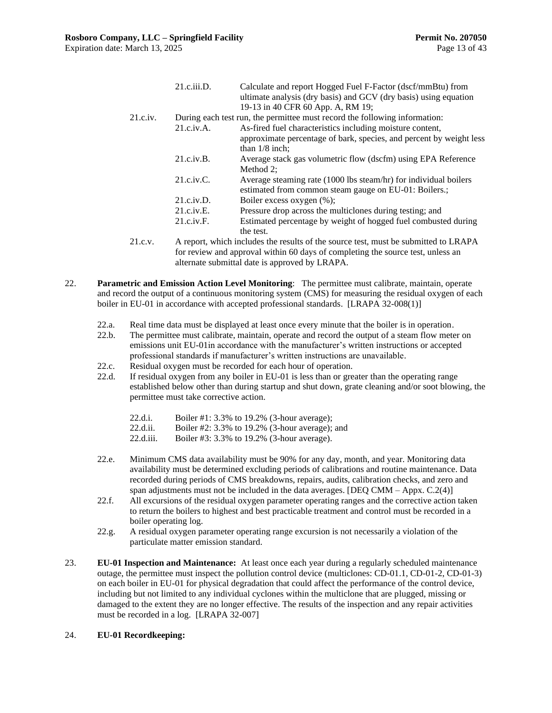|         | 21.c.iii.D.             | Calculate and report Hogged Fuel F-Factor (dscf/mmBtu) from<br>ultimate analysis (dry basis) and GCV (dry basis) using equation<br>19-13 in 40 CFR 60 App. A, RM 19; |
|---------|-------------------------|----------------------------------------------------------------------------------------------------------------------------------------------------------------------|
| 21.c.i. |                         | During each test run, the permittee must record the following information:                                                                                           |
|         | 21.c.i <i>v.A.</i>      | As-fired fuel characteristics including moisture content,                                                                                                            |
|         |                         | approximate percentage of bark, species, and percent by weight less<br>than $1/8$ inch:                                                                              |
|         | 21.c.i <sub>v</sub> .B. | Average stack gas volumetric flow (dscfm) using EPA Reference<br>Method 2:                                                                                           |
|         | 21.c.iv.C.              | Average steaming rate (1000 lbs steam/hr) for individual boilers<br>estimated from common steam gauge on EU-01: Boilers.;                                            |
|         | 21.c.i v.D.             | Boiler excess oxygen (%);                                                                                                                                            |
|         | 21.c.i v.E.             | Pressure drop across the multiclones during testing; and                                                                                                             |
|         | 21.c.i v.F.             | Estimated percentage by weight of hogged fuel combusted during                                                                                                       |
|         |                         | the test.                                                                                                                                                            |
| 21.c.v. |                         | A report, which includes the results of the source test, must be submitted to LRAPA                                                                                  |

for review and approval within 60 days of completing the source test, unless an alternate submittal date is approved by LRAPA.

- <span id="page-16-0"></span>22. **Parametric and Emission Action Level Monitoring**: The permittee must calibrate, maintain, operate and record the output of a continuous monitoring system (CMS) for measuring the residual oxygen of each boiler in EU-01 in accordance with accepted professional standards. [LRAPA 32-008(1)]
	- 22.a. Real time data must be displayed at least once every minute that the boiler is in operation.
	- 22.b. The permittee must calibrate, maintain, operate and record the output of a steam flow meter on emissions unit EU-01in accordance with the manufacturer's written instructions or accepted professional standards if manufacturer's written instructions are unavailable.
	- 22.c. Residual oxygen must be recorded for each hour of operation.
	- 22.d. If residual oxygen from any boiler in EU-01 is less than or greater than the operating range established below other than during startup and shut down, grate cleaning and/or soot blowing, the permittee must take corrective action.
		- 22.d.i. Boiler #1: 3.3% to 19.2% (3-hour average);
		- 22.d.ii. Boiler #2: 3.3% to 19.2% (3-hour average); and
		- 22.d.iii. Boiler #3: 3.3% to 19.2% (3-hour average).
	- 22.e. Minimum CMS data availability must be 90% for any day, month, and year. Monitoring data availability must be determined excluding periods of calibrations and routine maintenance. Data recorded during periods of CMS breakdowns, repairs, audits, calibration checks, and zero and span adjustments must not be included in the data averages. [DEQ CMM – Appx. C.2(4)]
	- 22.f. All excursions of the residual oxygen parameter operating ranges and the corrective action taken to return the boilers to highest and best practicable treatment and control must be recorded in a boiler operating log.
	- 22.g. A residual oxygen parameter operating range excursion is not necessarily a violation of the particulate matter emission standard.
- <span id="page-16-1"></span>23. **EU-01 Inspection and Maintenance:** At least once each year during a regularly scheduled maintenance outage, the permittee must inspect the pollution control device (multiclones: CD-01.1, CD-01-2, CD-01-3) on each boiler in EU-01 for physical degradation that could affect the performance of the control device, including but not limited to any individual cyclones within the multiclone that are plugged, missing or damaged to the extent they are no longer effective. The results of the inspection and any repair activities must be recorded in a log. [LRAPA 32-007]

#### 24. **EU-01 Recordkeeping:**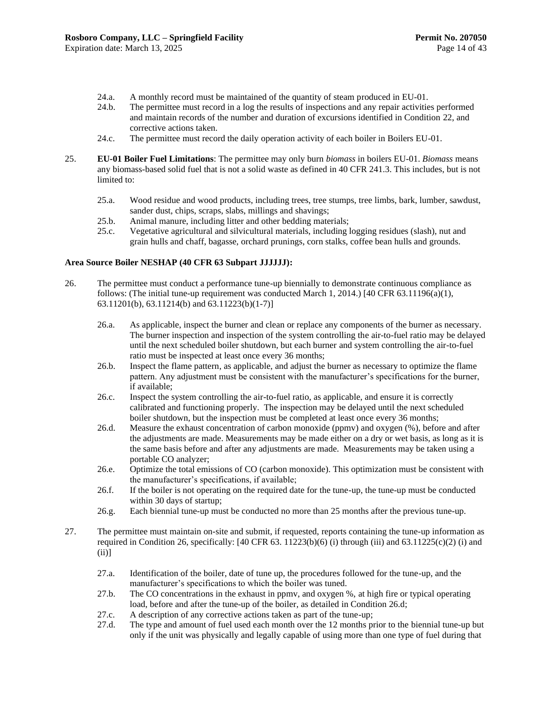- 24.a. A monthly record must be maintained of the quantity of steam produced in EU-01.
- 24.b. The permittee must record in a log the results of inspections and any repair activities performed and maintain records of the number and duration of excursions identified in Condition [22,](#page-16-0) and corrective actions taken.
- 24.c. The permittee must record the daily operation activity of each boiler in Boilers EU-01.
- <span id="page-17-0"></span>25. **EU-01 Boiler Fuel Limitations**: The permittee may only burn *biomass* in boilers EU-01. *Biomass* means any biomass-based solid fuel that is not a solid waste as defined in 40 CFR 241.3. This includes, but is not limited to:
	- 25.a. Wood residue and wood products, including trees, tree stumps, tree limbs, bark, lumber, sawdust, sander dust, chips, scraps, slabs, millings and shavings;
	- 25.b. Animal manure, including litter and other bedding materials;
	- 25.c. Vegetative agricultural and silvicultural materials, including logging residues (slash), nut and grain hulls and chaff, bagasse, orchard prunings, corn stalks, coffee bean hulls and grounds.

#### **Area Source Boiler NESHAP (40 CFR 63 Subpart JJJJJJ):**

- <span id="page-17-1"></span>26. The permittee must conduct a performance tune-up biennially to demonstrate continuous compliance as follows: (The initial tune-up requirement was conducted March 1, 2014.) [40 CFR  $63.11196(a)(1)$ , 63.11201(b), 63.11214(b) and 63.11223(b)(1-7)]
	- 26.a. As applicable, inspect the burner and clean or replace any components of the burner as necessary. The burner inspection and inspection of the system controlling the air-to-fuel ratio may be delayed until the next scheduled boiler shutdown, but each burner and system controlling the air-to-fuel ratio must be inspected at least once every 36 months;
	- 26.b. Inspect the flame pattern, as applicable, and adjust the burner as necessary to optimize the flame pattern. Any adjustment must be consistent with the manufacturer's specifications for the burner, if available;
	- 26.c. Inspect the system controlling the air-to-fuel ratio, as applicable, and ensure it is correctly calibrated and functioning properly. The inspection may be delayed until the next scheduled boiler shutdown, but the inspection must be completed at least once every 36 months;
	- 26.d. Measure the exhaust concentration of carbon monoxide (ppmv) and oxygen (%), before and after the adjustments are made. Measurements may be made either on a dry or wet basis, as long as it is the same basis before and after any adjustments are made. Measurements may be taken using a portable CO analyzer;
	- 26.e. Optimize the total emissions of CO (carbon monoxide). This optimization must be consistent with the manufacturer's specifications, if available;
	- 26.f. If the boiler is not operating on the required date for the tune-up, the tune-up must be conducted within 30 days of startup;
	- 26.g. Each biennial tune-up must be conducted no more than 25 months after the previous tune-up.
- <span id="page-17-3"></span><span id="page-17-2"></span>27. The permittee must maintain on-site and submit, if requested, reports containing the tune-up information as required in Condition [26,](#page-17-1) specifically:  $[40 \text{ CFR } 63.11223(b)(6)$  (i) through (iii) and 63.11225(c)(2) (i) and (ii)]
	- 27.a. Identification of the boiler, date of tune up, the procedures followed for the tune-up, and the manufacturer's specifications to which the boiler was tuned.
	- 27.b. The CO concentrations in the exhaust in ppmv, and oxygen %, at high fire or typical operating load, before and after the tune-up of the boiler, as detailed in Conditio[n 26.d;](#page-17-3)
	- 27.c. A description of any corrective actions taken as part of the tune-up;
	- 27.d. The type and amount of fuel used each month over the 12 months prior to the biennial tune-up but only if the unit was physically and legally capable of using more than one type of fuel during that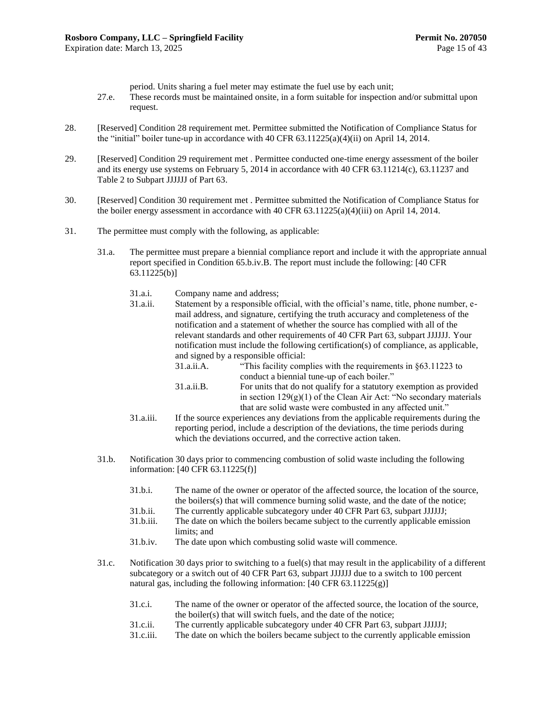period. Units sharing a fuel meter may estimate the fuel use by each unit;

- 27.e. These records must be maintained onsite, in a form suitable for inspection and/or submittal upon request.
- <span id="page-18-1"></span>28. [Reserved] Condition [28](#page-18-1) requirement met. Permittee submitted the Notification of Compliance Status for the "initial" boiler tune-up in accordance with 40 CFR 63.11225(a)(4)(ii) on April 14, 2014.
- <span id="page-18-2"></span>29. [Reserved] Condition [29](#page-18-2) requirement met . Permittee conducted one-time energy assessment of the boiler and its energy use systems on February 5, 2014 in accordance with 40 CFR 63.11214(c), 63.11237 and Table 2 to Subpart JJJJJJ of Part 63.
- <span id="page-18-3"></span>30. [Reserved] Condition [30](#page-18-3) requirement met . Permittee submitted the Notification of Compliance Status for the boiler energy assessment in accordance with 40 CFR  $63.11225(a)(4)(iii)$  on April 14, 2014.
- <span id="page-18-4"></span><span id="page-18-0"></span>31. The permittee must comply with the following, as applicable:
	- 31.a. The permittee must prepare a biennial compliance report and include it with the appropriate annual report specified in Condition [65.b.iv.B.](#page-33-0) The report must include the following: [40 CFR 63.11225(b)]
		- 31.a.i. Company name and address;
		- 31.a.ii. Statement by a responsible official, with the official's name, title, phone number, email address, and signature, certifying the truth accuracy and completeness of the notification and a statement of whether the source has complied with all of the relevant standards and other requirements of 40 CFR Part 63, subpart JJJJJJ. Your notification must include the following certification(s) of compliance, as applicable, and signed by a responsible official:
			- 31.a.ii.A. "This facility complies with the requirements in §63.11223 to conduct a biennial tune-up of each boiler." 31.a.ii.B. For units that do not qualify for a statutory exemption as provided
			- in section  $129(g)(1)$  of the Clean Air Act: "No secondary materials that are solid waste were combusted in any affected unit."
		- 31.a.iii. If the source experiences any deviations from the applicable requirements during the reporting period, include a description of the deviations, the time periods during which the deviations occurred, and the corrective action taken.
	- 31.b. Notification 30 days prior to commencing combustion of solid waste including the following information: [40 CFR 63.11225(f)]
		- 31.b.i. The name of the owner or operator of the affected source, the location of the source, the boilers(s) that will commence burning solid waste, and the date of the notice;
		- 31.b.ii. The currently applicable subcategory under 40 CFR Part 63, subpart JJJJJJ;
		- 31.b.iii. The date on which the boilers became subject to the currently applicable emission limits; and
		- 31.b.iv. The date upon which combusting solid waste will commence.
	- 31.c. Notification 30 days prior to switching to a fuel(s) that may result in the applicability of a different subcategory or a switch out of 40 CFR Part 63, subpart JJJJJJ due to a switch to 100 percent natural gas, including the following information: [40 CFR 63.11225(g)]
		- 31.c.i. The name of the owner or operator of the affected source, the location of the source, the boiler(s) that will switch fuels, and the date of the notice;
		- 31.c.ii. The currently applicable subcategory under 40 CFR Part 63, subpart JJJJJJ;
		- 31.c.iii. The date on which the boilers became subject to the currently applicable emission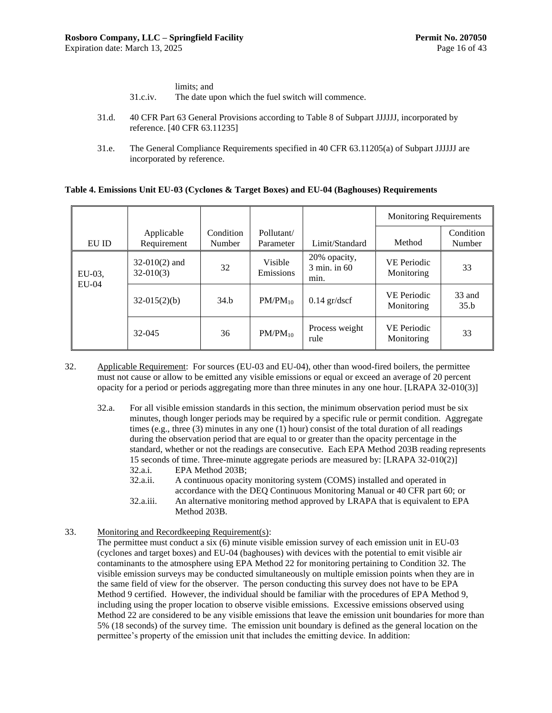|          | limits; and                                        |
|----------|----------------------------------------------------|
| 31.c.iv. | The date upon which the fuel switch will commence. |

- 31.d. 40 CFR Part 63 General Provisions according to Table 8 of Subpart JJJJJJ, incorporated by reference. [40 CFR 63.11235]
- 31.e. The General Compliance Requirements specified in 40 CFR 63.11205(a) of Subpart JJJJJJ are incorporated by reference.

#### **Table 4. Emissions Unit EU-03 (Cyclones & Target Boxes) and EU-04 (Baghouses) Requirements**

|           |                                |                     |                         |                                                | <b>Monitoring Requirements</b>   |                     |
|-----------|--------------------------------|---------------------|-------------------------|------------------------------------------------|----------------------------------|---------------------|
| EU ID     | Applicable<br>Requirement      | Condition<br>Number | Pollutant/<br>Parameter | Limit/Standard                                 | Method                           | Condition<br>Number |
| $EU-03$ . | $32-010(2)$ and<br>$32-010(3)$ | 32                  | Visible<br>Emissions    | 20% opacity,<br>$3 \text{ min.}$ in 60<br>min. | <b>VE Periodic</b><br>Monitoring | 33                  |
| $EU-04$   | $32-015(2)(b)$                 | 34.b                | $PM/PM_{10}$            | $0.14$ gr/dscf                                 | <b>VE Periodic</b><br>Monitoring | 33 and<br>35.b      |
|           | 32-045                         | 36                  | $PM/PM_{10}$            | Process weight<br>rule                         | <b>VE Periodic</b><br>Monitoring | 33                  |

- <span id="page-19-0"></span>32. Applicable Requirement: For sources (EU-03 and EU-04), other than wood-fired boilers, the permittee must not cause or allow to be emitted any visible emissions or equal or exceed an average of 20 percent opacity for a period or periods aggregating more than three minutes in any one hour. [LRAPA 32-010(3)]
	- 32.a. For all visible emission standards in this section, the minimum observation period must be six minutes, though longer periods may be required by a specific rule or permit condition. Aggregate times (e.g., three (3) minutes in any one (1) hour) consist of the total duration of all readings during the observation period that are equal to or greater than the opacity percentage in the standard, whether or not the readings are consecutive. Each EPA Method 203B reading represents 15 seconds of time. Three-minute aggregate periods are measured by: [LRAPA 32-010(2)] 32.a.i. EPA Method 203B;

32.a.ii. A continuous opacity monitoring system (COMS) installed and operated in accordance with the DEQ Continuous Monitoring Manual or 40 CFR part 60; or

- 32.a.iii. An alternative monitoring method approved by LRAPA that is equivalent to EPA Method 203B.
- <span id="page-19-1"></span>33. Monitoring and Recordkeeping Requirement(s):

The permittee must conduct a six (6) minute visible emission survey of each emission unit in EU-03 (cyclones and target boxes) and EU-04 (baghouses) with devices with the potential to emit visible air contaminants to the atmosphere using EPA Method 22 for monitoring pertaining to Condition [32.](#page-19-0) The visible emission surveys may be conducted simultaneously on multiple emission points when they are in the same field of view for the observer. The person conducting this survey does not have to be EPA Method 9 certified. However, the individual should be familiar with the procedures of EPA Method 9, including using the proper location to observe visible emissions. Excessive emissions observed using Method 22 are considered to be any visible emissions that leave the emission unit boundaries for more than 5% (18 seconds) of the survey time. The emission unit boundary is defined as the general location on the permittee's property of the emission unit that includes the emitting device. In addition: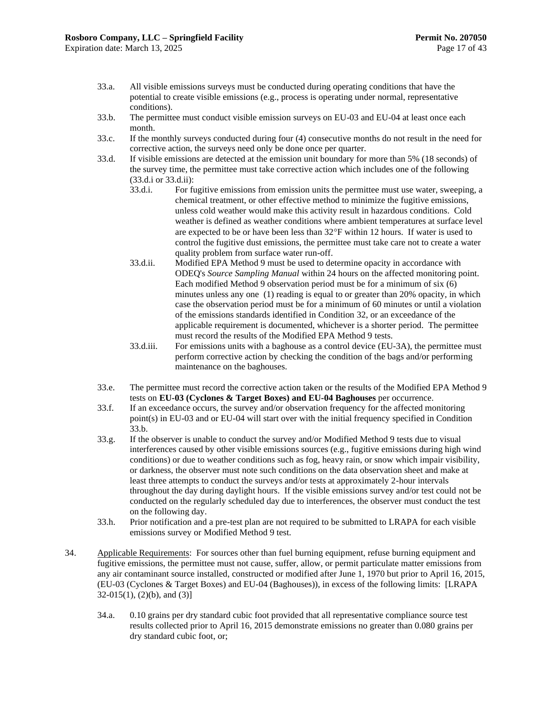- 33.a. All visible emissions surveys must be conducted during operating conditions that have the potential to create visible emissions (e.g., process is operating under normal, representative conditions).
- <span id="page-20-2"></span>33.b. The permittee must conduct visible emission surveys on EU-03 and EU-04 at least once each month.
- 33.c. If the monthly surveys conducted during four (4) consecutive months do not result in the need for corrective action, the surveys need only be done once per quarter.
- <span id="page-20-1"></span><span id="page-20-0"></span>33.d. If visible emissions are detected at the emission unit boundary for more than 5% (18 seconds) of the survey time, the permittee must take corrective action which includes one of the following [\(33.d.i](#page-20-0) o[r 33.d.ii\)](#page-20-1):
	- 33.d.i. For fugitive emissions from emission units the permittee must use water, sweeping, a chemical treatment, or other effective method to minimize the fugitive emissions, unless cold weather would make this activity result in hazardous conditions. Cold weather is defined as weather conditions where ambient temperatures at surface level are expected to be or have been less than 32°F within 12 hours. If water is used to control the fugitive dust emissions, the permittee must take care not to create a water quality problem from surface water run-off.
	- 33.d.ii. Modified EPA Method 9 must be used to determine opacity in accordance with ODEQ's *Source Sampling Manual* within 24 hours on the affected monitoring point. Each modified Method 9 observation period must be for a minimum of six (6) minutes unless any one (1) reading is equal to or greater than 20% opacity, in which case the observation period must be for a minimum of 60 minutes or until a violation of the emissions standards identified in Condition [32,](#page-19-0) or an exceedance of the applicable requirement is documented, whichever is a shorter period. The permittee must record the results of the Modified EPA Method 9 tests.
	- 33.d.iii. For emissions units with a baghouse as a control device (EU-3A), the permittee must perform corrective action by checking the condition of the bags and/or performing maintenance on the baghouses.
- 33.e. The permittee must record the corrective action taken or the results of the Modified EPA Method 9 tests on **EU-03 (Cyclones & Target Boxes) and EU-04 Baghouses** per occurrence.
- 33.f. If an exceedance occurs, the survey and/or observation frequency for the affected monitoring point(s) in EU-03 and or EU-04 will start over with the initial frequency specified in Condition [33.b.](#page-20-2)
- 33.g. If the observer is unable to conduct the survey and/or Modified Method 9 tests due to visual interferences caused by other visible emissions sources (e.g., fugitive emissions during high wind conditions) or due to weather conditions such as fog, heavy rain, or snow which impair visibility, or darkness, the observer must note such conditions on the data observation sheet and make at least three attempts to conduct the surveys and/or tests at approximately 2-hour intervals throughout the day during daylight hours. If the visible emissions survey and/or test could not be conducted on the regularly scheduled day due to interferences, the observer must conduct the test on the following day.
- 33.h. Prior notification and a pre-test plan are not required to be submitted to LRAPA for each visible emissions survey or Modified Method 9 test.
- <span id="page-20-3"></span>34. Applicable Requirements: For sources other than fuel burning equipment, refuse burning equipment and fugitive emissions, the permittee must not cause, suffer, allow, or permit particulate matter emissions from any air contaminant source installed, constructed or modified after June 1, 1970 but prior to April 16, 2015, (EU-03 (Cyclones & Target Boxes) and EU-04 (Baghouses)), in excess of the following limits: [LRAPA 32-015(1), (2)(b), and (3)]
	- 34.a. 0.10 grains per dry standard cubic foot provided that all representative compliance source test results collected prior to April 16, 2015 demonstrate emissions no greater than 0.080 grains per dry standard cubic foot, or;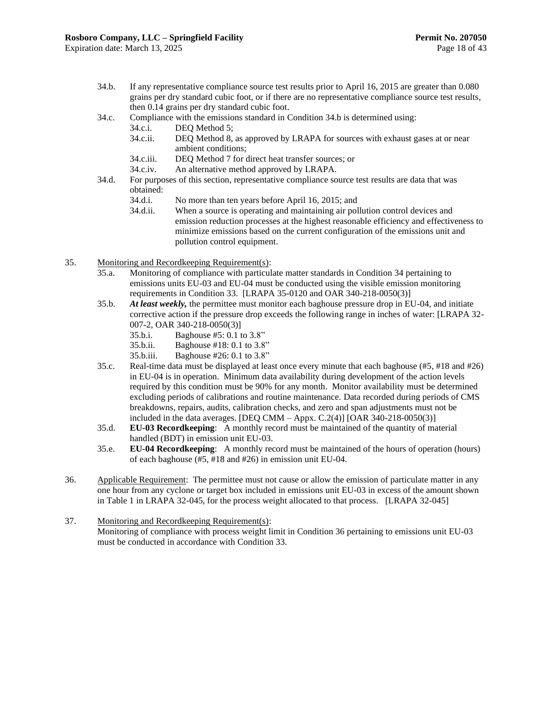- <span id="page-21-0"></span>34.b. If any representative compliance source test results prior to April 16, 2015 are greater than 0.080 grains per dry standard cubic foot, or if there are no representative compliance source test results, then 0.14 grains per dry standard cubic foot.
- 34.c. Compliance with the emissions standard in Condition [34.b](#page-21-0) is determined using:
	- 34.c.i. DEQ Method 5;
	- 34.c.ii. DEQ Method 8, as approved by LRAPA for sources with exhaust gases at or near ambient conditions;
	- 34.c.iii. DEQ Method 7 for direct heat transfer sources; or
	- 34.c.iv. An alternative method approved by LRAPA.
- 34.d. For purposes of this section, representative compliance source test results are data that was obtained:
	- 34.d.i. No more than ten years before April 16, 2015; and
	- 34.d.ii. When a source is operating and maintaining air pollution control devices and emission reduction processes at the highest reasonable efficiency and effectiveness to minimize emissions based on the current configuration of the emissions unit and pollution control equipment.
- <span id="page-21-1"></span>35. Monitoring and Recordkeeping Requirement(s):
	- 35.a. Monitoring of compliance with particulate matter standards in Conditio[n 34](#page-20-3) pertaining to emissions units EU-03 and EU-04 must be conducted using the visible emission monitoring requirements in Condition [33.](#page-19-1) [LRAPA 35-0120 and OAR 340-218-0050(3)]
	- 35.b. *At least weekly,* the permittee must monitor each baghouse pressure drop in EU-04, and initiate corrective action if the pressure drop exceeds the following range in inches of water: [LRAPA 32- 007-2, OAR 340-218-0050(3)]
		- 35.b.i. Baghouse #5: 0.1 to 3.8"
		- 35.b.ii. Baghouse #18: 0.1 to 3.8"
		- 35.b.iii. Baghouse #26: 0.1 to 3.8"
	- 35.c. Real-time data must be displayed at least once every minute that each baghouse (#5, #18 and #26) in EU-04 is in operation. Minimum data availability during development of the action levels required by this condition must be 90% for any month. Monitor availability must be determined excluding periods of calibrations and routine maintenance. Data recorded during periods of CMS breakdowns, repairs, audits, calibration checks, and zero and span adjustments must not be included in the data averages. [DEQ CMM – Appx. C.2(4)] [OAR 340-218-0050(3)]
	- 35.d. **EU-03 Recordkeeping**: A monthly record must be maintained of the quantity of material handled (BDT) in emission unit EU-03.
	- 35.e. **EU-04 Recordkeeping**: A monthly record must be maintained of the hours of operation (hours) of each baghouse (#5, #18 and #26) in emission unit EU-04.
- <span id="page-21-2"></span>36. Applicable Requirement: The permittee must not cause or allow the emission of particulate matter in any one hour from any cyclone or target box included in emissions unit EU-03 in excess of the amount shown in Table 1 in LRAPA 32-045, for the process weight allocated to that process. [LRAPA 32-045]
- 37. Monitoring and Recordkeeping Requirement(s):

Monitoring of compliance with process weight limit in Condition [36](#page-21-2) pertaining to emissions unit EU-03 must be conducted in accordance with Condition [33.](#page-19-1)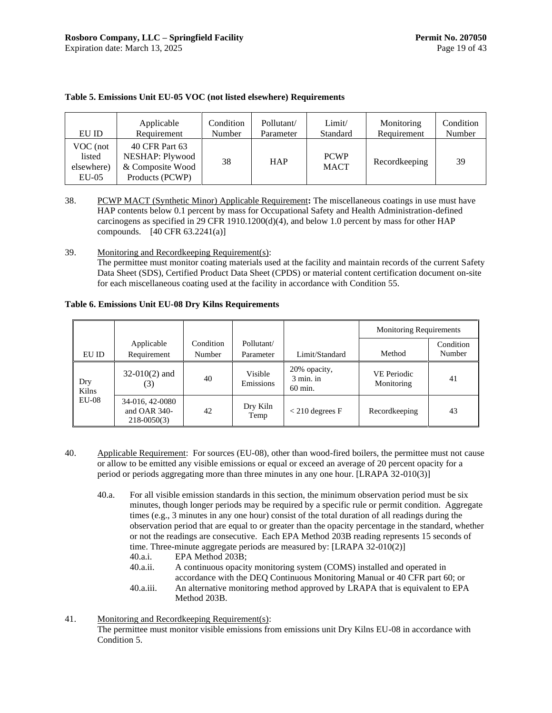| EU ID                                       | Applicable                                                               | Condition | Pollutant/ | Limit/                     | Monitoring    | Condition |
|---------------------------------------------|--------------------------------------------------------------------------|-----------|------------|----------------------------|---------------|-----------|
|                                             | Requirement                                                              | Number    | Parameter  | Standard                   | Requirement   | Number    |
| VOC (not<br>listed<br>elsewhere)<br>$EU-05$ | 40 CFR Part 63<br>NESHAP: Plywood<br>& Composite Wood<br>Products (PCWP) | 38        | <b>HAP</b> | <b>PCWP</b><br><b>MACT</b> | Recordkeeping | 39        |

#### **Table 5. Emissions Unit EU-05 VOC (not listed elsewhere) Requirements**

<span id="page-22-0"></span>38. PCWP MACT (Synthetic Minor) Applicable Requirement**:** The miscellaneous coatings in use must have HAP contents below 0.1 percent by mass for Occupational Safety and Health Administration-defined carcinogens as specified in 29 CFR 1910.1200 $(d)(4)$ , and below 1.0 percent by mass for other HAP compounds.  $[40 \text{ CFR } 63.2241(a)]$ 

<span id="page-22-2"></span>39. Monitoring and Recordkeeping Requirement(s):

The permittee must monitor coating materials used at the facility and maintain records of the current Safety Data Sheet (SDS), Certified Product Data Sheet (CPDS) or material content certification document on-site for each miscellaneous coating used at the facility in accordance with Conditio[n 55.](#page-30-1)

**Table 6. Emissions Unit EU-08 Dry Kilns Requirements**

|              |                                                      |                     |                         |                                        | <b>Monitoring Requirements</b>   |                     |
|--------------|------------------------------------------------------|---------------------|-------------------------|----------------------------------------|----------------------------------|---------------------|
| EU ID        | Applicable<br>Requirement                            | Condition<br>Number | Pollutant/<br>Parameter | Limit/Standard                         | Method                           | Condition<br>Number |
| Dry<br>Kilns | $32-010(2)$ and<br>(3)                               | 40                  | Visible<br>Emissions    | 20% opacity,<br>$3$ min. in<br>60 min. | <b>VE</b> Periodic<br>Monitoring | 41                  |
| $EU-08$      | 34-016, 42-0080<br>and OAR $340-$<br>$218 - 0050(3)$ | 42                  | Dry Kiln<br>Temp        | $<$ 210 degrees F                      | Recordkeeping                    | 43                  |

- <span id="page-22-1"></span>40. Applicable Requirement: For sources (EU-08), other than wood-fired boilers, the permittee must not cause or allow to be emitted any visible emissions or equal or exceed an average of 20 percent opacity for a period or periods aggregating more than three minutes in any one hour. [LRAPA 32-010(3)]
	- 40.a. For all visible emission standards in this section, the minimum observation period must be six minutes, though longer periods may be required by a specific rule or permit condition. Aggregate times (e.g., 3 minutes in any one hour) consist of the total duration of all readings during the observation period that are equal to or greater than the opacity percentage in the standard, whether or not the readings are consecutive. Each EPA Method 203B reading represents 15 seconds of time. Three-minute aggregate periods are measured by: [LRAPA 32-010(2)]
		- 40.a.i. EPA Method 203B;
		- 40.a.ii. A continuous opacity monitoring system (COMS) installed and operated in accordance with the DEQ Continuous Monitoring Manual or 40 CFR part 60; or 40.a.iii. An alternative monitoring method approved by LRAPA that is equivalent to EPA
		- Method 203B.
- <span id="page-22-3"></span>41. Monitoring and Recordkeeping Requirement(s): The permittee must monitor visible emissions from emissions unit Dry Kilns EU-08 in accordance with Condition [5.](#page-10-1)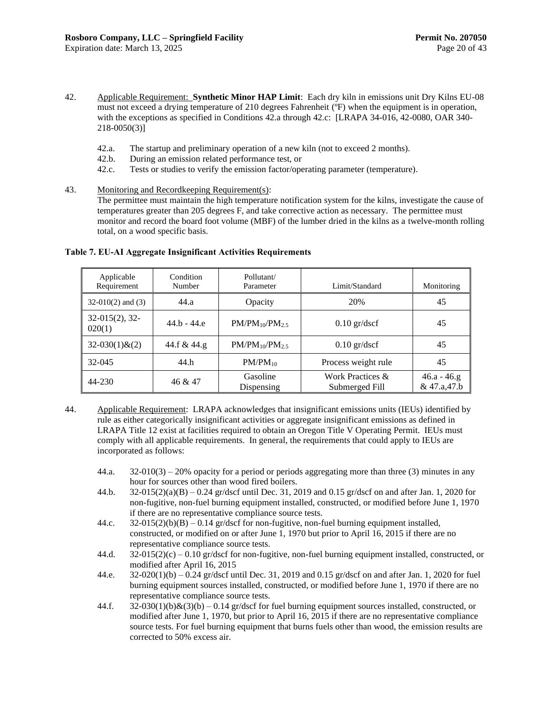- <span id="page-23-1"></span>42. Applicable Requirement: **Synthetic Minor HAP Limit**: Each dry kiln in emissions unit Dry Kilns EU-08 must not exceed a drying temperature of 210 degrees Fahrenheit (ºF) when the equipment is in operation, with the exceptions as specified in Conditions [42.a](#page-23-3) through [42.c:](#page-23-4) [LRAPA 34-016, 42-0080, OAR 340- 218-0050(3)]
	- 42.a. The startup and preliminary operation of a new kiln (not to exceed 2 months).
	- 42.b. During an emission related performance test, or
	- 42.c. Tests or studies to verify the emission factor/operating parameter (temperature).
- <span id="page-23-4"></span><span id="page-23-3"></span><span id="page-23-2"></span>43. Monitoring and Recordkeeping Requirement(s):

The permittee must maintain the high temperature notification system for the kilns, investigate the cause of temperatures greater than 205 degrees F, and take corrective action as necessary. The permittee must monitor and record the board foot volume (MBF) of the lumber dried in the kilns as a twelve-month rolling total, on a wood specific basis.

| Applicable<br>Requirement  | Condition<br>Number | Pollutant/<br>Parameter | Limit/Standard                     | Monitoring                   |
|----------------------------|---------------------|-------------------------|------------------------------------|------------------------------|
| $32-010(2)$ and $(3)$      | 44.a                | Opacity                 | 20%                                | 45                           |
| $32-015(2), 32-$<br>020(1) | $44.b - 44.e$       | $PM/PM_{10}/PM_{2.5}$   | $0.10$ gr/dscf                     | 45                           |
| $32-030(1)$ & $(2)$        | 44.f & 44.g         | $PM/PM_{10}/PM_{2.5}$   | $0.10$ gr/dscf                     | 45                           |
| 32-045                     | 44.h                | $PM/PM_{10}$            | Process weight rule                | 45                           |
| 44-230                     | 46 & 47             | Gasoline<br>Dispensing  | Work Practices &<br>Submerged Fill | $46.a - 46.g$<br>& 47.a,47.b |

#### **Table 7. EU-AI Aggregate Insignificant Activities Requirements**

- <span id="page-23-8"></span><span id="page-23-7"></span><span id="page-23-6"></span><span id="page-23-5"></span><span id="page-23-0"></span>44. Applicable Requirement: LRAPA acknowledges that insignificant emissions units (IEUs) identified by rule as either categorically insignificant activities or aggregate insignificant emissions as defined in LRAPA Title 12 exist at facilities required to obtain an Oregon Title V Operating Permit. IEUs must comply with all applicable requirements. In general, the requirements that could apply to IEUs are incorporated as follows:
	- 44.a. 32-010(3) 20% opacity for a period or periods aggregating more than three (3) minutes in any hour for sources other than wood fired boilers.
	- 44.b. 32-015(2)(a)(B) 0.24 gr/dscf until Dec. 31, 2019 and 0.15 gr/dscf on and after Jan. 1, 2020 for non-fugitive, non-fuel burning equipment installed, constructed, or modified before June 1, 1970 if there are no representative compliance source tests.
	- 44.c.  $32-015(2)(b)(B) 0.14$  gr/dscf for non-fugitive, non-fuel burning equipment installed, constructed, or modified on or after June 1, 1970 but prior to April 16, 2015 if there are no representative compliance source tests.
	- 44.d.  $32-015(2)(c) 0.10$  gr/dscf for non-fugitive, non-fuel burning equipment installed, constructed, or modified after April 16, 2015
	- 44.e. 32-020(1)(b) 0.24 gr/dscf until Dec. 31, 2019 and 0.15 gr/dscf on and after Jan. 1, 2020 for fuel burning equipment sources installed, constructed, or modified before June 1, 1970 if there are no representative compliance source tests.
	- 44.f.  $32-030(1)(b)\&(3)(b) 0.14$  gr/dscf for fuel burning equipment sources installed, constructed, or modified after June 1, 1970, but prior to April 16, 2015 if there are no representative compliance source tests. For fuel burning equipment that burns fuels other than wood, the emission results are corrected to 50% excess air.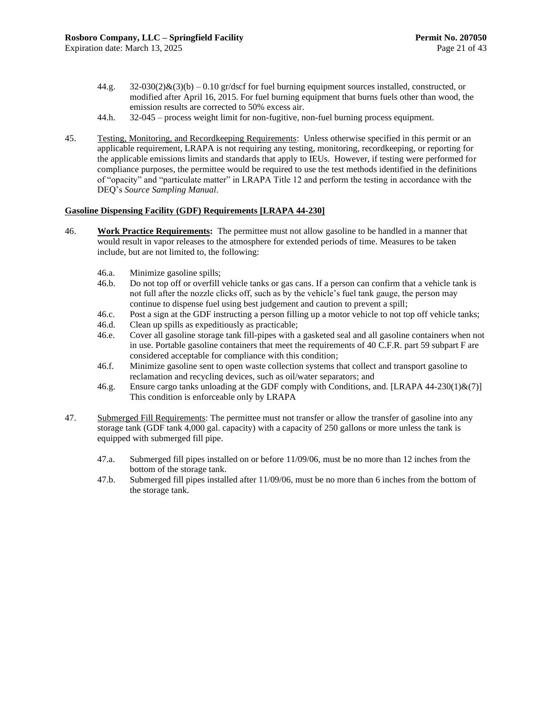- <span id="page-24-1"></span>44.g.  $32-030(2)\&(3)(b)-0.10$  gr/dscf for fuel burning equipment sources installed, constructed, or modified after April 16, 2015. For fuel burning equipment that burns fuels other than wood, the emission results are corrected to 50% excess air.
- 44.h. 32-045 process weight limit for non-fugitive, non-fuel burning process equipment.
- <span id="page-24-2"></span><span id="page-24-0"></span>45. Testing, Monitoring, and Recordkeeping Requirements: Unless otherwise specified in this permit or an applicable requirement, LRAPA is not requiring any testing, monitoring, recordkeeping, or reporting for the applicable emissions limits and standards that apply to IEUs. However, if testing were performed for compliance purposes, the permittee would be required to use the test methods identified in the definitions of "opacity" and "particulate matter" in LRAPA Title 12 and perform the testing in accordance with the DEQ's *Source Sampling Manual*.

#### **Gasoline Dispensing Facility (GDF) Requirements [LRAPA 44-230]**

- <span id="page-24-5"></span><span id="page-24-3"></span>46. **Work Practice Requirements:** The permittee must not allow gasoline to be handled in a manner that would result in vapor releases to the atmosphere for extended periods of time. Measures to be taken include, but are not limited to, the following:
	- 46.a. Minimize gasoline spills;
	- 46.b. Do not top off or overfill vehicle tanks or gas cans. If a person can confirm that a vehicle tank is not full after the nozzle clicks off, such as by the vehicle's fuel tank gauge, the person may continue to dispense fuel using best judgement and caution to prevent a spill;
	- 46.c. Post a sign at the GDF instructing a person filling up a motor vehicle to not top off vehicle tanks;
	- 46.d. Clean up spills as expeditiously as practicable;
	- 46.e. Cover all gasoline storage tank fill-pipes with a gasketed seal and all gasoline containers when not in use. Portable gasoline containers that meet the requirements of 40 C.F.R. part 59 subpart F are considered acceptable for compliance with this condition;
	- 46.f. Minimize gasoline sent to open waste collection systems that collect and transport gasoline to reclamation and recycling devices, such as oil/water separators; and
	- 46.g. Ensure cargo tanks unloading at the GDF comply with Conditions, and. [LRAPA 44-230(1)&(7)] This condition is enforceable only by LRAPA
- <span id="page-24-8"></span><span id="page-24-7"></span><span id="page-24-6"></span><span id="page-24-4"></span>47. Submerged Fill Requirements: The permittee must not transfer or allow the transfer of gasoline into any storage tank (GDF tank 4,000 gal. capacity) with a capacity of 250 gallons or more unless the tank is equipped with submerged fill pipe.
	- 47.a. Submerged fill pipes installed on or before 11/09/06, must be no more than 12 inches from the bottom of the storage tank.
	- 47.b. Submerged fill pipes installed after 11/09/06, must be no more than 6 inches from the bottom of the storage tank.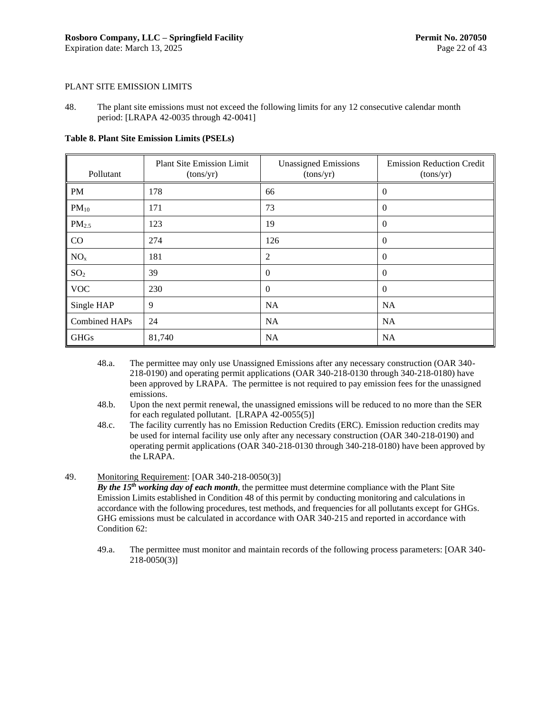#### PLANT SITE EMISSION LIMITS

<span id="page-25-0"></span>48. The plant site emissions must not exceed the following limits for any 12 consecutive calendar month period: [LRAPA 42-0035 through 42-0041]

**Table 8. Plant Site Emission Limits (PSELs)**

| Pollutant       | <b>Plant Site Emission Limit</b><br>(tons/yr) | <b>Unassigned Emissions</b><br>(tons/yr) | <b>Emission Reduction Credit</b><br>(tons/yr) |
|-----------------|-----------------------------------------------|------------------------------------------|-----------------------------------------------|
| <b>PM</b>       | 178                                           | 66                                       | $\Omega$                                      |
| $PM_{10}$       | 171                                           | 73                                       | $\overline{0}$                                |
| $PM_{2.5}$      | 123                                           | 19                                       | $\Omega$                                      |
| CO              | 274                                           | 126                                      | $\overline{0}$                                |
| NO <sub>x</sub> | 181                                           | 2                                        | $\overline{0}$                                |
| SO <sub>2</sub> | 39                                            | $\theta$                                 | $\mathbf{0}$                                  |
| <b>VOC</b>      | 230                                           | $\Omega$                                 | $\theta$                                      |
| Single HAP      | 9                                             | <b>NA</b>                                | <b>NA</b>                                     |
| Combined HAPs   | 24                                            | <b>NA</b>                                | <b>NA</b>                                     |
| <b>GHGs</b>     | 81,740                                        | <b>NA</b>                                | NA                                            |

- 48.a. The permittee may only use Unassigned Emissions after any necessary construction (OAR 340- 218-0190) and operating permit applications (OAR 340-218-0130 through 340-218-0180) have been approved by LRAPA. The permittee is not required to pay emission fees for the unassigned emissions.
- 48.b. Upon the next permit renewal, the unassigned emissions will be reduced to no more than the SER for each regulated pollutant. [LRAPA 42-0055(5)]
- 48.c. The facility currently has no Emission Reduction Credits (ERC). Emission reduction credits may be used for internal facility use only after any necessary construction (OAR 340-218-0190) and operating permit applications (OAR 340-218-0130 through 340-218-0180) have been approved by the LRAPA.

#### 49. Monitoring Requirement: [OAR 340-218-0050(3)]

*By the 15th working day of each month*, the permittee must determine compliance with the Plant Site Emission Limits established in Condition [48](#page-25-0) of this permit by conducting monitoring and calculations in accordance with the following procedures, test methods, and frequencies for all pollutants except for GHGs. GHG emissions must be calculated in accordance with OAR 340-215 and reported in accordance with Condition [62:](#page-32-2)

<span id="page-25-1"></span>49.a. The permittee must monitor and maintain records of the following process parameters: [OAR 340- 218-0050(3)]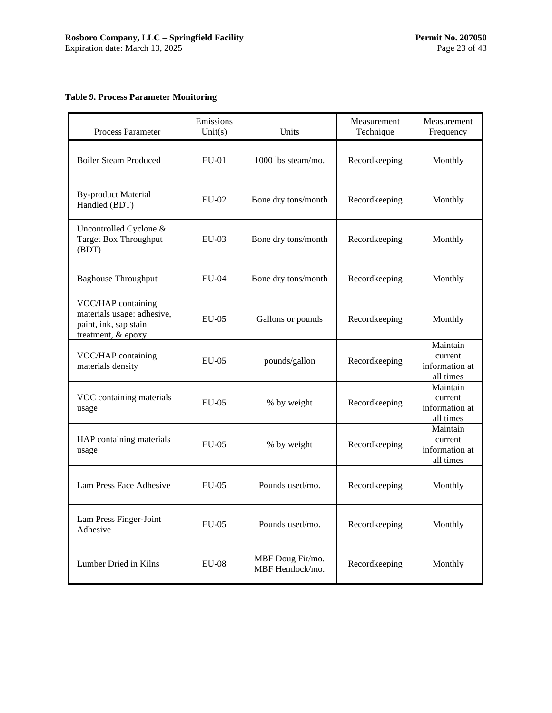## **Table 9. Process Parameter Monitoring**

| Process Parameter                                                                               | Emissions<br>Unit $(s)$ | Units                               | Measurement<br>Technique | Measurement<br>Frequency                           |
|-------------------------------------------------------------------------------------------------|-------------------------|-------------------------------------|--------------------------|----------------------------------------------------|
| <b>Boiler Steam Produced</b>                                                                    | $EU-01$                 | 1000 lbs steam/mo.                  | Recordkeeping            | Monthly                                            |
| <b>By-product Material</b><br>Handled (BDT)                                                     | EU-02                   | Bone dry tons/month                 | Recordkeeping            | Monthly                                            |
| Uncontrolled Cyclone &<br><b>Target Box Throughput</b><br>(BDT)                                 | $EU-03$                 | Bone dry tons/month                 | Recordkeeping            | Monthly                                            |
| <b>Baghouse Throughput</b>                                                                      | $EU-04$                 | Bone dry tons/month                 | Recordkeeping            | Monthly                                            |
| VOC/HAP containing<br>materials usage: adhesive,<br>paint, ink, sap stain<br>treatment, & epoxy | $EU-05$                 | Gallons or pounds                   | Recordkeeping            | Monthly                                            |
| VOC/HAP containing<br>materials density                                                         | $EU-05$                 | pounds/gallon                       | Recordkeeping            | Maintain<br>current<br>information at<br>all times |
| VOC containing materials<br>usage                                                               | $EU-05$                 | % by weight                         | Recordkeeping            | Maintain<br>current<br>information at<br>all times |
| HAP containing materials<br>usage                                                               | $EU-05$                 | % by weight                         | Recordkeeping            | Maintain<br>current<br>information at<br>all times |
| Lam Press Face Adhesive                                                                         | $EU-05$                 | Pounds used/mo.                     | Recordkeeping            | Monthly                                            |
| Lam Press Finger-Joint<br>Adhesive                                                              | $EU-05$                 | Pounds used/mo.                     | Recordkeeping            | Monthly                                            |
| Lumber Dried in Kilns                                                                           | $EU-08$                 | MBF Doug Fir/mo.<br>MBF Hemlock/mo. | Recordkeeping            | Monthly                                            |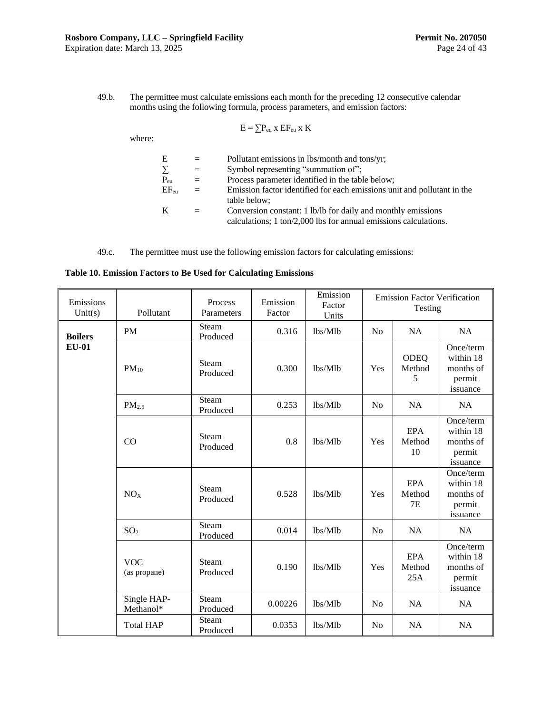<span id="page-27-1"></span>49.b. The permittee must calculate emissions each month for the preceding 12 consecutive calendar months using the following formula, process parameters, and emission factors:

$$
E = \sum P_{eu} x E F_{eu} x K
$$

where:

| E                   | $=$ | Pollutant emissions in lbs/month and tons/yr;                           |
|---------------------|-----|-------------------------------------------------------------------------|
| $\sum_{\text{Peu}}$ | $=$ | Symbol representing "summation of";                                     |
|                     | $=$ | Process parameter identified in the table below;                        |
| $EF_{en}$           | $=$ | Emission factor identified for each emissions unit and pollutant in the |
|                     |     | table below:                                                            |
| K                   | $=$ | Conversion constant: 1 lb/lb for daily and monthly emissions            |
|                     |     | calculations; 1 ton/2,000 lbs for annual emissions calculations.        |

49.c. The permittee must use the following emission factors for calculating emissions:

<span id="page-27-0"></span>

|  |  |  |  |  | Table 10. Emission Factors to Be Used for Calculating Emissions |  |
|--|--|--|--|--|-----------------------------------------------------------------|--|
|--|--|--|--|--|-----------------------------------------------------------------|--|

| Emissions<br>Unit(s) | Pollutant                  | Process<br>Parameters    | Emission<br>Factor | Emission<br>Factor<br>Units |                | <b>Emission Factor Verification</b><br>Testing |                                                           |
|----------------------|----------------------------|--------------------------|--------------------|-----------------------------|----------------|------------------------------------------------|-----------------------------------------------------------|
| <b>Boilers</b>       | PM                         | Steam<br>Produced        | 0.316              | lbs/Mlb                     | No             | NA                                             | NA                                                        |
| <b>EU-01</b>         | $PM_{10}$                  | Steam<br>Produced        | 0.300              | lbs/Mlb                     | Yes            | <b>ODEQ</b><br>Method<br>5                     | Once/term<br>within 18<br>months of<br>permit<br>issuance |
|                      | PM <sub>2.5</sub>          | Steam<br>Produced        | 0.253              | lbs/Mlb                     | N <sub>0</sub> | <b>NA</b>                                      | <b>NA</b>                                                 |
|                      | CO                         | Steam<br>Produced        | 0.8                | lbs/Mlb                     | Yes            | <b>EPA</b><br>Method<br>10                     | Once/term<br>within 18<br>months of<br>permit<br>issuance |
|                      | NO <sub>X</sub>            | Steam<br>Produced        | 0.528              | lbs/Mlb                     | Yes            | <b>EPA</b><br>Method<br><b>7E</b>              | Once/term<br>within 18<br>months of<br>permit<br>issuance |
|                      | SO <sub>2</sub>            | Steam<br>Produced        | 0.014              | lbs/Mlb                     | N <sub>0</sub> | <b>NA</b>                                      | <b>NA</b>                                                 |
|                      | <b>VOC</b><br>(as propane) | <b>Steam</b><br>Produced | 0.190              | lbs/Mlb                     | Yes            | <b>EPA</b><br>Method<br>25A                    | Once/term<br>within 18<br>months of<br>permit<br>issuance |
|                      | Single HAP-<br>Methanol*   | <b>Steam</b><br>Produced | 0.00226            | lbs/Mlb                     | N <sub>0</sub> | <b>NA</b>                                      | <b>NA</b>                                                 |
|                      | <b>Total HAP</b>           | Steam<br>Produced        | 0.0353             | lbs/Mlb                     | N <sub>o</sub> | <b>NA</b>                                      | <b>NA</b>                                                 |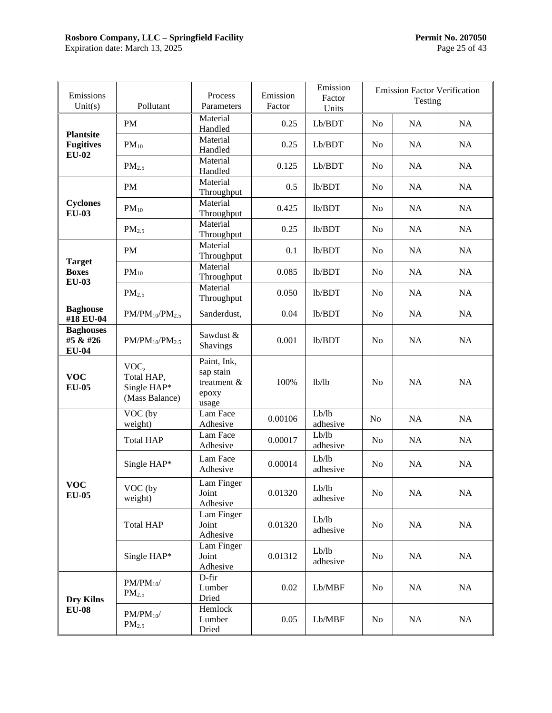## **Rosboro Company, LLC – Springfield Facility Permit No. 207050**

Expiration date: March 13, 2025 **Page 25 of 43** 

| Emissions<br>Unit $(s)$                       | Pollutant                                           | Process<br>Parameters                                     | Emission<br>Factor | Emission<br>Factor<br>Units |                | <b>Emission Factor Verification</b><br>Testing |           |
|-----------------------------------------------|-----------------------------------------------------|-----------------------------------------------------------|--------------------|-----------------------------|----------------|------------------------------------------------|-----------|
|                                               | <b>PM</b>                                           | Material<br>Handled                                       | 0.25               | Lb/BDT                      | No             | NA                                             | NA        |
| <b>Plantsite</b><br><b>Fugitives</b>          | $PM_{10}$                                           | Material<br>Handled                                       | 0.25               | Lb/BDT                      | N <sub>o</sub> | NA                                             | NA        |
| $EU-02$                                       | PM <sub>2.5</sub>                                   | Material<br>Handled                                       | 0.125              | Lb/BDT                      | N <sub>o</sub> | NA                                             | NA        |
|                                               | <b>PM</b>                                           | Material<br>Throughput                                    | 0.5                | lb/BDT                      | N <sub>0</sub> | NA                                             | NA        |
| <b>Cyclones</b><br><b>EU-03</b>               | $PM_{10}$                                           | Material<br>Throughput                                    | 0.425              | lb/BDT                      | N <sub>0</sub> | NA                                             | NA        |
|                                               | PM <sub>2.5</sub>                                   | Material<br>Throughput                                    | 0.25               | lb/BDT                      | N <sub>0</sub> | NA                                             | NA        |
|                                               | PM                                                  | Material<br>Throughput                                    | 0.1                | lb/BDT                      | N <sub>0</sub> | NA                                             | NA        |
| <b>Target</b><br><b>Boxes</b><br><b>EU-03</b> | $PM_{10}$                                           | Material<br>Throughput                                    | 0.085              | lb/BDT                      | N <sub>o</sub> | NA                                             | NA        |
|                                               | PM <sub>2.5</sub>                                   | Material<br>Throughput                                    | 0.050              | lb/BDT                      | N <sub>0</sub> | NA                                             | NA        |
| <b>Baghouse</b><br>#18 EU-04                  | $PM/PM_{10}/PM_{2.5}$                               | Sanderdust,                                               | 0.04               | lb/BDT                      | N <sub>o</sub> | NA                                             | NA        |
| <b>Baghouses</b><br>#5 & #26<br><b>EU-04</b>  | $PM/PM_{10}/PM_{2.5}$                               | Sawdust &<br>Shavings                                     | 0.001              | lb/BDT                      | N <sub>0</sub> | NA                                             | NA        |
| <b>VOC</b><br><b>EU-05</b>                    | VOC,<br>Total HAP,<br>Single HAP*<br>(Mass Balance) | Paint, Ink,<br>sap stain<br>treatment &<br>epoxy<br>usage | 100%               | 1b/1b                       | N <sub>o</sub> | NA                                             | <b>NA</b> |
|                                               | VOC (by<br>weight)                                  | Lam Face<br>Adhesive                                      | 0.00106            | Lb/lb<br>adhesive           | No             | NA                                             | NA        |
|                                               | <b>Total HAP</b>                                    | Lam Face<br>Adhesive                                      | 0.00017            | Lb/lb<br>adhesive           | N <sub>0</sub> | NA                                             | NA        |
|                                               | Single HAP*                                         | Lam Face<br>Adhesive                                      | 0.00014            | Lb/lb<br>adhesive           | N <sub>o</sub> | NA                                             | NA        |
| <b>VOC</b><br><b>EU-05</b>                    | VOC (by<br>weight)                                  | Lam Finger<br>Joint<br>Adhesive                           | 0.01320            | Lb/lb<br>adhesive           | No             | NA                                             | NA        |
|                                               | <b>Total HAP</b>                                    | Lam Finger<br>Joint<br>Adhesive                           | 0.01320            | Lb/lb<br>adhesive           | No             | NA                                             | NA        |
|                                               | Single HAP*                                         | Lam Finger<br>Joint<br>Adhesive                           | 0.01312            | Lb/lb<br>adhesive           | N <sub>o</sub> | NA                                             | NA        |
| <b>Dry Kilns</b>                              | $PM/PM_{10}$<br>PM <sub>2.5</sub>                   | D-fir<br>Lumber<br>Dried                                  | 0.02               | Lb/MBF                      | N <sub>o</sub> | NA                                             | NA        |
| $EU-08$                                       | $PM/PM_{10}$<br>PM <sub>2.5</sub>                   | Hemlock<br>Lumber<br>Dried                                | 0.05               | Lb/MBF                      | N <sub>0</sub> | NA                                             | NA        |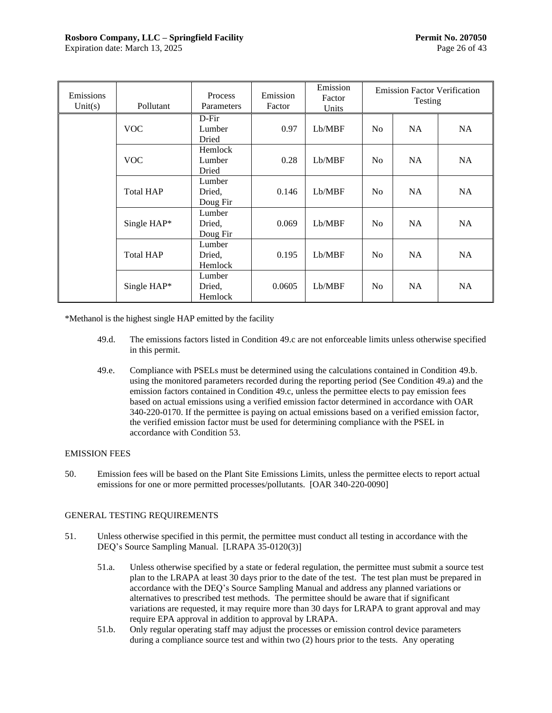| Emissions<br>Unit(s) | Pollutant        | Process<br>Parameters        | Emission<br>Factor | Emission<br>Factor<br>Units |                | <b>Emission Factor Verification</b><br>Testing |           |
|----------------------|------------------|------------------------------|--------------------|-----------------------------|----------------|------------------------------------------------|-----------|
|                      | <b>VOC</b>       | $D$ -Fir<br>Lumber<br>Dried  | 0.97               | Lb/MBF                      | N <sub>o</sub> | NA                                             | <b>NA</b> |
|                      | <b>VOC</b>       | Hemlock<br>Lumber<br>Dried   | 0.28               | Lb/MBF                      | N <sub>o</sub> | NA                                             | NA        |
|                      | <b>Total HAP</b> | Lumber<br>Dried,<br>Doug Fir | 0.146              | Lb/MBF                      | N <sub>0</sub> | NA                                             | NA.       |
|                      | Single HAP*      | Lumber<br>Dried,<br>Doug Fir | 0.069              | Lb/MBF                      | N <sub>o</sub> | NA                                             | <b>NA</b> |
|                      | <b>Total HAP</b> | Lumber<br>Dried.<br>Hemlock  | 0.195              | Lb/MBF                      | N <sub>0</sub> | NA                                             | <b>NA</b> |
|                      | Single HAP*      | Lumber<br>Dried,<br>Hemlock  | 0.0605             | Lb/MBF                      | N <sub>o</sub> | NA                                             | <b>NA</b> |

\*Methanol is the highest single HAP emitted by the facility

- 49.d. The emissions factors listed in Conditio[n 49.c](#page-27-0) are not enforceable limits unless otherwise specified in this permit.
- 49.e. Compliance with PSELs must be determined using the calculations contained in Condition [49.b.](#page-27-1) using the monitored parameters recorded during the reporting period (See Conditio[n 49.a\)](#page-25-1) and the emission factors contained in Condition [49.c,](#page-27-0) unless the permittee elects to pay emission fees based on actual emissions using a verified emission factor determined in accordance with OAR 340-220-0170. If the permittee is paying on actual emissions based on a verified emission factor, the verified emission factor must be used for determining compliance with the PSEL in accordance with Condition [53.](#page-30-2)

## EMISSION FEES

<span id="page-29-0"></span>50. Emission fees will be based on the Plant Site Emissions Limits, unless the permittee elects to report actual emissions for one or more permitted processes/pollutants. [OAR 340-220-0090]

## GENERAL TESTING REQUIREMENTS

- <span id="page-29-1"></span>51. Unless otherwise specified in this permit, the permittee must conduct all testing in accordance with the DEQ's Source Sampling Manual. [LRAPA 35-0120(3)]
	- 51.a. Unless otherwise specified by a state or federal regulation, the permittee must submit a source test plan to the LRAPA at least 30 days prior to the date of the test. The test plan must be prepared in accordance with the DEQ's Source Sampling Manual and address any planned variations or alternatives to prescribed test methods. The permittee should be aware that if significant variations are requested, it may require more than 30 days for LRAPA to grant approval and may require EPA approval in addition to approval by LRAPA.
	- 51.b. Only regular operating staff may adjust the processes or emission control device parameters during a compliance source test and within two (2) hours prior to the tests. Any operating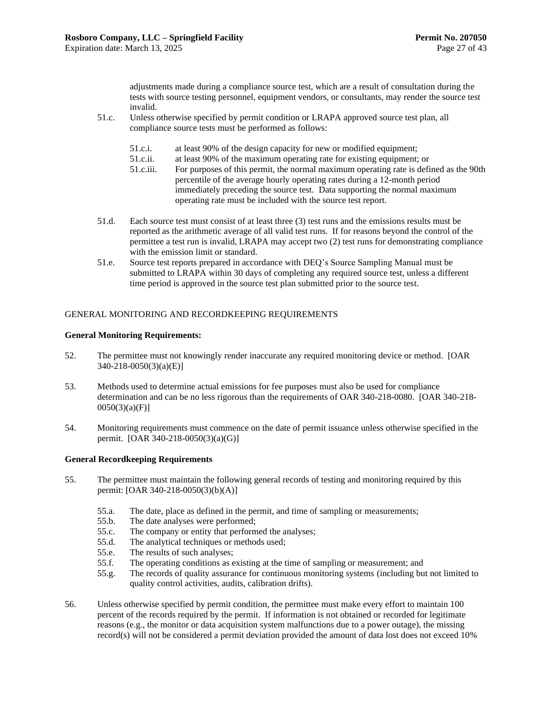adjustments made during a compliance source test, which are a result of consultation during the tests with source testing personnel, equipment vendors, or consultants, may render the source test invalid.

- 51.c. Unless otherwise specified by permit condition or LRAPA approved source test plan, all compliance source tests must be performed as follows:
	- 51.c.i. at least 90% of the design capacity for new or modified equipment;
	- 51.c.ii. at least 90% of the maximum operating rate for existing equipment; or
	- 51.c.iii. For purposes of this permit, the normal maximum operating rate is defined as the 90th percentile of the average hourly operating rates during a 12-month period immediately preceding the source test. Data supporting the normal maximum operating rate must be included with the source test report.
- 51.d. Each source test must consist of at least three (3) test runs and the emissions results must be reported as the arithmetic average of all valid test runs. If for reasons beyond the control of the permittee a test run is invalid, LRAPA may accept two (2) test runs for demonstrating compliance with the emission limit or standard.
- 51.e. Source test reports prepared in accordance with DEQ's Source Sampling Manual must be submitted to LRAPA within 30 days of completing any required source test, unless a different time period is approved in the source test plan submitted prior to the source test.

### GENERAL MONITORING AND RECORDKEEPING REQUIREMENTS

#### **General Monitoring Requirements:**

- <span id="page-30-0"></span>52. The permittee must not knowingly render inaccurate any required monitoring device or method. [OAR 340-218-0050(3)(a)(E)]
- <span id="page-30-2"></span>53. Methods used to determine actual emissions for fee purposes must also be used for compliance determination and can be no less rigorous than the requirements of OAR 340-218-0080. [OAR 340-218-  $0050(3)(a)(F)$ ]
- 54. Monitoring requirements must commence on the date of permit issuance unless otherwise specified in the permit. [OAR 340-218-0050(3)(a)(G)]

#### **General Recordkeeping Requirements**

- <span id="page-30-1"></span>55. The permittee must maintain the following general records of testing and monitoring required by this permit: [OAR 340-218-0050(3)(b)(A)]
	- 55.a. The date, place as defined in the permit, and time of sampling or measurements;
	- 55.b. The date analyses were performed;
	- 55.c. The company or entity that performed the analyses;
	- 55.d. The analytical techniques or methods used;
	- 55.e. The results of such analyses;
	- 55.f. The operating conditions as existing at the time of sampling or measurement; and
	- 55.g. The records of quality assurance for continuous monitoring systems (including but not limited to quality control activities, audits, calibration drifts).
- 56. Unless otherwise specified by permit condition, the permittee must make every effort to maintain 100 percent of the records required by the permit. If information is not obtained or recorded for legitimate reasons (e.g., the monitor or data acquisition system malfunctions due to a power outage), the missing record(s) will not be considered a permit deviation provided the amount of data lost does not exceed 10%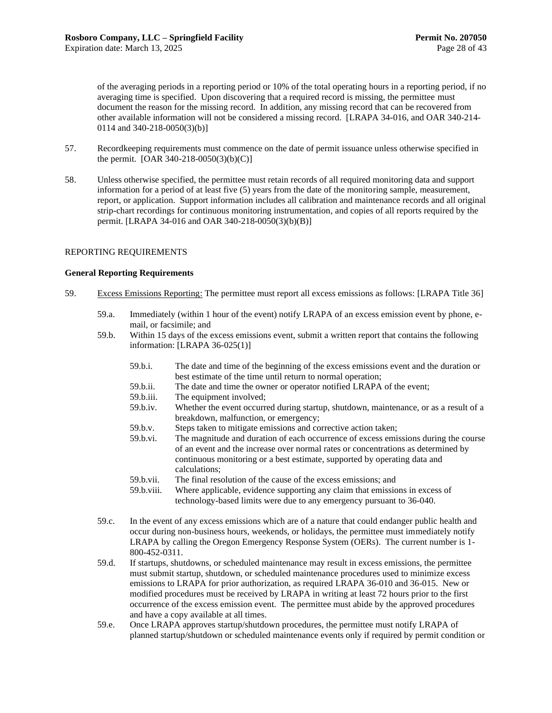of the averaging periods in a reporting period or 10% of the total operating hours in a reporting period, if no averaging time is specified. Upon discovering that a required record is missing, the permittee must document the reason for the missing record. In addition, any missing record that can be recovered from other available information will not be considered a missing record. [LRAPA 34-016, and OAR 340-214- 0114 and 340-218-0050(3)(b)]

- 57. Recordkeeping requirements must commence on the date of permit issuance unless otherwise specified in the permit.  $[OAR 340-218-0050(3)(b)(C)]$
- 58. Unless otherwise specified, the permittee must retain records of all required monitoring data and support information for a period of at least five (5) years from the date of the monitoring sample, measurement, report, or application. Support information includes all calibration and maintenance records and all original strip-chart recordings for continuous monitoring instrumentation, and copies of all reports required by the permit. [LRAPA 34-016 and OAR 340-218-0050(3)(b)(B)]

#### REPORTING REQUIREMENTS

#### **General Reporting Requirements**

- <span id="page-31-1"></span><span id="page-31-0"></span>59. Excess Emissions Reporting: The permittee must report all excess emissions as follows: [LRAPA Title 36]
	- 59.a. Immediately (within 1 hour of the event) notify LRAPA of an excess emission event by phone, email, or facsimile; and
	- 59.b. Within 15 days of the excess emissions event, submit a written report that contains the following information: [LRAPA 36-025(1)]
		- 59.b.i. The date and time of the beginning of the excess emissions event and the duration or best estimate of the time until return to normal operation;
		- 59.b.ii. The date and time the owner or operator notified LRAPA of the event;
		- 59.b.iii. The equipment involved;
		- 59.b.iv. Whether the event occurred during startup, shutdown, maintenance, or as a result of a breakdown, malfunction, or emergency;
		- 59.b.v. Steps taken to mitigate emissions and corrective action taken;
		- 59.b.vi. The magnitude and duration of each occurrence of excess emissions during the course of an event and the increase over normal rates or concentrations as determined by continuous monitoring or a best estimate, supported by operating data and calculations;
		- 59.b.vii. The final resolution of the cause of the excess emissions; and
		- 59.b.viii. Where applicable, evidence supporting any claim that emissions in excess of technology-based limits were due to any emergency pursuant to 36-040.
	- 59.c. In the event of any excess emissions which are of a nature that could endanger public health and occur during non-business hours, weekends, or holidays, the permittee must immediately notify LRAPA by calling the Oregon Emergency Response System (OERs). The current number is 1- 800-452-0311.
	- 59.d. If startups, shutdowns, or scheduled maintenance may result in excess emissions, the permittee must submit startup, shutdown, or scheduled maintenance procedures used to minimize excess emissions to LRAPA for prior authorization, as required LRAPA 36-010 and 36-015. New or modified procedures must be received by LRAPA in writing at least 72 hours prior to the first occurrence of the excess emission event. The permittee must abide by the approved procedures and have a copy available at all times.
	- 59.e. Once LRAPA approves startup/shutdown procedures, the permittee must notify LRAPA of planned startup/shutdown or scheduled maintenance events only if required by permit condition or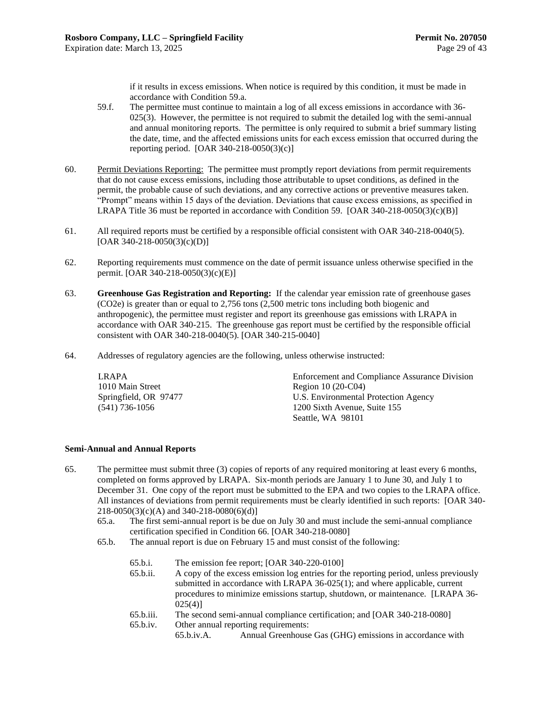if it results in excess emissions. When notice is required by this condition, it must be made in accordance with Condition [59.a.](#page-31-1)

- 59.f. The permittee must continue to maintain a log of all excess emissions in accordance with 36- 025(3). However, the permittee is not required to submit the detailed log with the semi-annual and annual monitoring reports. The permittee is only required to submit a brief summary listing the date, time, and the affected emissions units for each excess emission that occurred during the reporting period. [OAR 340-218-0050(3)(c)]
- 60. Permit Deviations Reporting: The permittee must promptly report deviations from permit requirements that do not cause excess emissions, including those attributable to upset conditions, as defined in the permit, the probable cause of such deviations, and any corrective actions or preventive measures taken. "Prompt" means within 15 days of the deviation. Deviations that cause excess emissions, as specified in LRAPA Title 36 must be reported in accordance with Condition [59.](#page-31-0) [OAR 340-218-0050(3)(c)(B)]
- 61. All required reports must be certified by a responsible official consistent with OAR 340-218-0040(5).  $[OAR 340-218-0050(3)(c)(D)]$
- <span id="page-32-2"></span>62. Reporting requirements must commence on the date of permit issuance unless otherwise specified in the permit. [OAR 340-218-0050(3)(c)(E)]
- <span id="page-32-3"></span>63. **Greenhouse Gas Registration and Reporting:** If the calendar year emission rate of greenhouse gases (CO2e) is greater than or equal to 2,756 tons (2,500 metric tons including both biogenic and anthropogenic), the permittee must register and report its greenhouse gas emissions with LRAPA in accordance with OAR 340-215. The greenhouse gas report must be certified by the responsible official consistent with OAR 340-218-0040(5). [OAR 340-215-0040]
- 64. Addresses of regulatory agencies are the following, unless otherwise instructed:

| LRAPA                 | <b>Enforcement and Compliance Assurance Division</b> |
|-----------------------|------------------------------------------------------|
| 1010 Main Street      | Region $10(20-C04)$                                  |
| Springfield, OR 97477 | U.S. Environmental Protection Agency                 |
| $(541)$ 736-1056      | 1200 Sixth Avenue, Suite 155                         |
|                       | Seattle, WA 98101                                    |

#### **Semi-Annual and Annual Reports**

- <span id="page-32-1"></span><span id="page-32-0"></span>65. The permittee must submit three (3) copies of reports of any required monitoring at least every 6 months, completed on forms approved by LRAPA. Six-month periods are January 1 to June 30, and July 1 to December 31. One copy of the report must be submitted to the EPA and two copies to the LRAPA office. All instances of deviations from permit requirements must be clearly identified in such reports: [OAR 340- 218-0050(3)(c)(A) and 340-218-0080(6)(d)]
	- 65.a. The first semi-annual report is be due on July 30 and must include the semi-annual compliance certification specified in Condition [66.](#page-33-1) [OAR 340-218-0080]
	- 65.b. The annual report is due on February 15 and must consist of the following:
		- 65.b.i. The emission fee report; [OAR 340-220-0100]
		- 65.b.ii. A copy of the excess emission log entries for the reporting period, unless previously submitted in accordance with LRAPA 36-025(1); and where applicable, current procedures to minimize emissions startup, shutdown, or maintenance. [LRAPA 36-  $025(4)$ ]
		- 65.b.iii. The second semi-annual compliance certification; and [OAR 340-218-0080]
		- 65.b.iv. Other annual reporting requirements:
			- 65.b.iv.A. Annual Greenhouse Gas (GHG) emissions in accordance with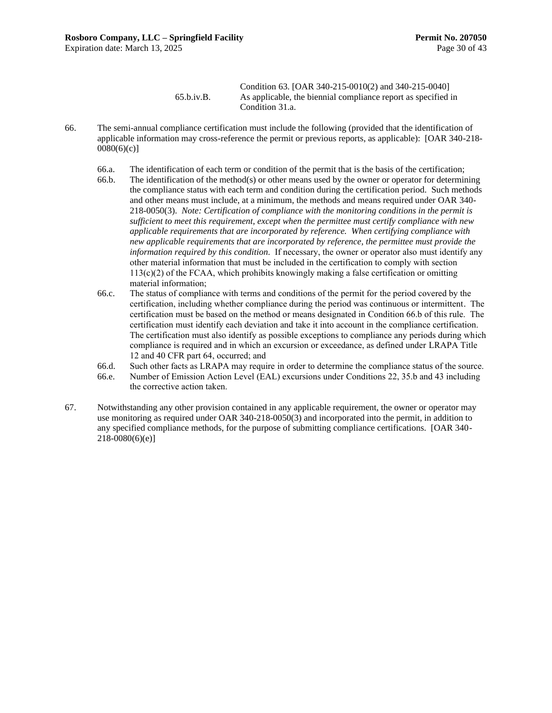#### Condition [63.](#page-32-3) [OAR 340-215-0010(2) and 340-215-0040] 65.b.iv.B. As applicable, the biennial compliance report as specified in Condition [31.a.](#page-18-4)

- <span id="page-33-2"></span><span id="page-33-1"></span><span id="page-33-0"></span>66. The semi-annual compliance certification must include the following (provided that the identification of applicable information may cross-reference the permit or previous reports, as applicable): [OAR 340-218-  $0080(6)(c)$ ]
	- 66.a. The identification of each term or condition of the permit that is the basis of the certification;
	- 66.b. The identification of the method(s) or other means used by the owner or operator for determining the compliance status with each term and condition during the certification period. Such methods and other means must include, at a minimum, the methods and means required under OAR 340- 218-0050(3). *Note: Certification of compliance with the monitoring conditions in the permit is sufficient to meet this requirement, except when the permittee must certify compliance with new applicable requirements that are incorporated by reference. When certifying compliance with new applicable requirements that are incorporated by reference, the permittee must provide the information required by this condition.* If necessary, the owner or operator also must identify any other material information that must be included in the certification to comply with section  $113(c)(2)$  of the FCAA, which prohibits knowingly making a false certification or omitting material information;
	- 66.c. The status of compliance with terms and conditions of the permit for the period covered by the certification, including whether compliance during the period was continuous or intermittent. The certification must be based on the method or means designated in Conditio[n 66.b](#page-33-2) of this rule. The certification must identify each deviation and take it into account in the compliance certification. The certification must also identify as possible exceptions to compliance any periods during which compliance is required and in which an excursion or exceedance, as defined under LRAPA Title 12 and 40 CFR part 64, occurred; and
	- 66.d. Such other facts as LRAPA may require in order to determine the compliance status of the source.
	- 66.e. Number of Emission Action Level (EAL) excursions under Conditions [22,](#page-16-0) [35.b](#page-21-1) an[d 43](#page-23-2) including the corrective action taken.
- 67. Notwithstanding any other provision contained in any applicable requirement, the owner or operator may use monitoring as required under OAR 340-218-0050(3) and incorporated into the permit, in addition to any specified compliance methods, for the purpose of submitting compliance certifications. [OAR 340- 218-0080(6)(e)]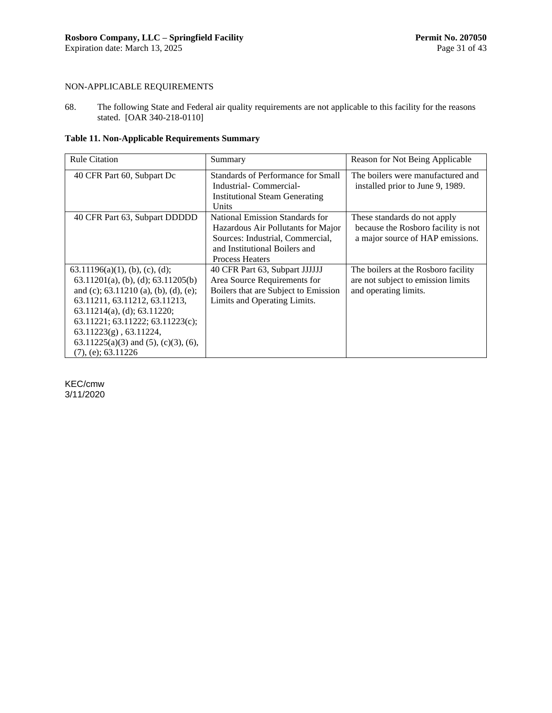## NON-APPLICABLE REQUIREMENTS

<span id="page-34-0"></span>68. The following State and Federal air quality requirements are not applicable to this facility for the reasons stated. [OAR 340-218-0110]

**Table 11. Non-Applicable Requirements Summary** 

| <b>Rule Citation</b>                                                                                                                                                                                                                                                                                                                          | Summary                                                                                                                                                              | Reason for Not Being Applicable                                                                         |
|-----------------------------------------------------------------------------------------------------------------------------------------------------------------------------------------------------------------------------------------------------------------------------------------------------------------------------------------------|----------------------------------------------------------------------------------------------------------------------------------------------------------------------|---------------------------------------------------------------------------------------------------------|
| 40 CFR Part 60, Subpart Dc                                                                                                                                                                                                                                                                                                                    | Standards of Performance for Small<br>Industrial-Commercial-<br><b>Institutional Steam Generating</b><br>Units                                                       | The boilers were manufactured and<br>installed prior to June 9, 1989.                                   |
| 40 CFR Part 63, Subpart DDDDD                                                                                                                                                                                                                                                                                                                 | National Emission Standards for<br>Hazardous Air Pollutants for Major<br>Sources: Industrial, Commercial,<br>and Institutional Boilers and<br><b>Process Heaters</b> | These standards do not apply<br>because the Rosboro facility is not<br>a major source of HAP emissions. |
| $63.11196(a)(1)$ , (b), (c), (d);<br>$63.11201(a)$ , (b), (d); $63.11205(b)$<br>and (c); $63.11210$ (a), (b), (d), (e);<br>63.11211, 63.11212, 63.11213,<br>$63.11214(a)$ , (d); $63.11220$ ;<br>63.11221; 63.11222; 63.11223(c);<br>$63.11223(g)$ , $63.11224$ ,<br>$63.11225(a)(3)$ and $(5)$ , $(c)(3)$ , $(6)$ ,<br>$(7)$ , (e); 63.11226 | 40 CFR Part 63, Subpart JJJJJJ<br>Area Source Requirements for<br>Boilers that are Subject to Emission<br>Limits and Operating Limits.                               | The boilers at the Rosboro facility<br>are not subject to emission limits<br>and operating limits.      |

KEC/cmw 3/11/2020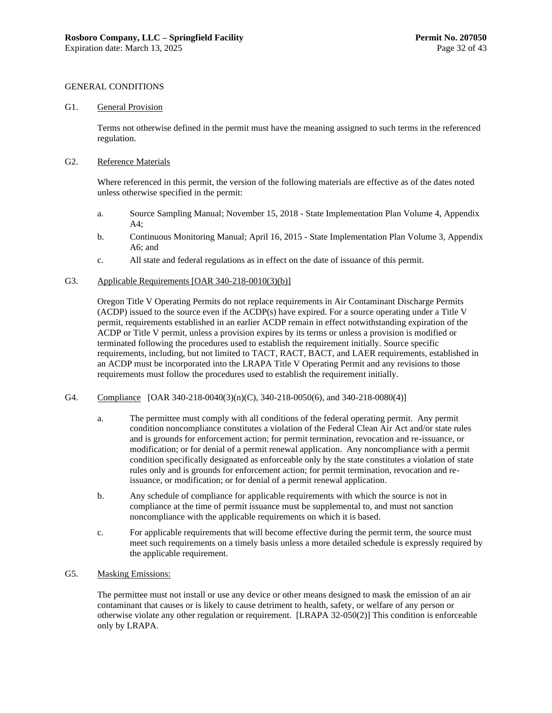#### GENERAL CONDITIONS

#### <span id="page-35-0"></span>G1. General Provision

Terms not otherwise defined in the permit must have the meaning assigned to such terms in the referenced regulation.

#### G2. Reference Materials

Where referenced in this permit, the version of the following materials are effective as of the dates noted unless otherwise specified in the permit:

- a. Source Sampling Manual; November 15, 2018 State Implementation Plan Volume 4, Appendix A4;
- b. Continuous Monitoring Manual; April 16, 2015 State Implementation Plan Volume 3, Appendix A6; and
- c. All state and federal regulations as in effect on the date of issuance of this permit.

#### G3. Applicable Requirements [OAR 340-218-0010(3)(b)]

Oregon Title V Operating Permits do not replace requirements in Air Contaminant Discharge Permits (ACDP) issued to the source even if the ACDP(s) have expired. For a source operating under a Title V permit, requirements established in an earlier ACDP remain in effect notwithstanding expiration of the ACDP or Title V permit, unless a provision expires by its terms or unless a provision is modified or terminated following the procedures used to establish the requirement initially. Source specific requirements, including, but not limited to TACT, RACT, BACT, and LAER requirements, established in an ACDP must be incorporated into the LRAPA Title V Operating Permit and any revisions to those requirements must follow the procedures used to establish the requirement initially.

- G4. Compliance [OAR 340-218-0040(3)(n)(C), 340-218-0050(6), and 340-218-0080(4)]
	- a. The permittee must comply with all conditions of the federal operating permit. Any permit condition noncompliance constitutes a violation of the Federal Clean Air Act and/or state rules and is grounds for enforcement action; for permit termination, revocation and re-issuance, or modification; or for denial of a permit renewal application. Any noncompliance with a permit condition specifically designated as enforceable only by the state constitutes a violation of state rules only and is grounds for enforcement action; for permit termination, revocation and reissuance, or modification; or for denial of a permit renewal application.
	- b. Any schedule of compliance for applicable requirements with which the source is not in compliance at the time of permit issuance must be supplemental to, and must not sanction noncompliance with the applicable requirements on which it is based.
	- c. For applicable requirements that will become effective during the permit term, the source must meet such requirements on a timely basis unless a more detailed schedule is expressly required by the applicable requirement.
- G5. Masking Emissions:

The permittee must not install or use any device or other means designed to mask the emission of an air contaminant that causes or is likely to cause detriment to health, safety, or welfare of any person or otherwise violate any other regulation or requirement. [LRAPA 32-050(2)] This condition is enforceable only by LRAPA.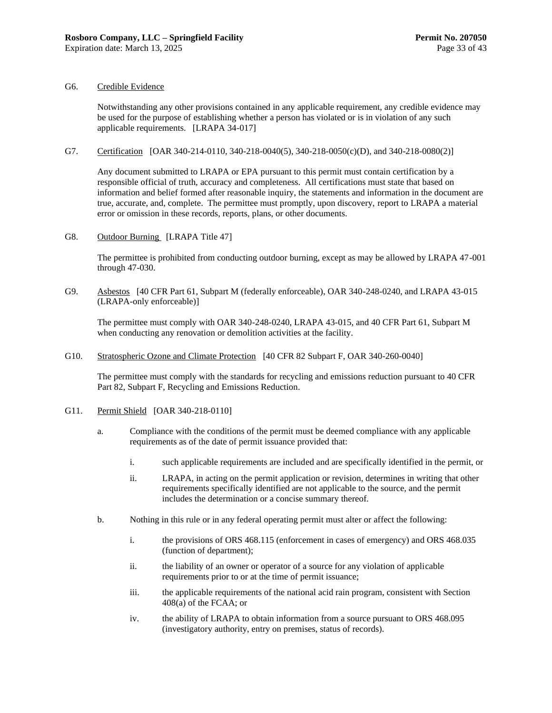#### G6. Credible Evidence

Notwithstanding any other provisions contained in any applicable requirement, any credible evidence may be used for the purpose of establishing whether a person has violated or is in violation of any such applicable requirements. [LRAPA 34-017]

G7. Certification [OAR 340-214-0110, 340-218-0040(5), 340-218-0050(c)(D), and 340-218-0080(2)]

Any document submitted to LRAPA or EPA pursuant to this permit must contain certification by a responsible official of truth, accuracy and completeness. All certifications must state that based on information and belief formed after reasonable inquiry, the statements and information in the document are true, accurate, and, complete. The permittee must promptly, upon discovery, report to LRAPA a material error or omission in these records, reports, plans, or other documents.

G8. Outdoor Burning [LRAPA Title 47]

The permittee is prohibited from conducting outdoor burning, except as may be allowed by LRAPA 47-001 through 47-030.

G9. Asbestos [40 CFR Part 61, Subpart M (federally enforceable), OAR 340-248-0240, and LRAPA 43-015 (LRAPA-only enforceable)]

The permittee must comply with OAR 340-248-0240, LRAPA 43-015, and 40 CFR Part 61, Subpart M when conducting any renovation or demolition activities at the facility.

G10. Stratospheric Ozone and Climate Protection [40 CFR 82 Subpart F, OAR 340-260-0040]

The permittee must comply with the standards for recycling and emissions reduction pursuant to 40 CFR Part 82, Subpart F, Recycling and Emissions Reduction.

- G11. Permit Shield [OAR 340-218-0110]
	- a. Compliance with the conditions of the permit must be deemed compliance with any applicable requirements as of the date of permit issuance provided that:
		- i. such applicable requirements are included and are specifically identified in the permit, or
		- ii. LRAPA, in acting on the permit application or revision, determines in writing that other requirements specifically identified are not applicable to the source, and the permit includes the determination or a concise summary thereof.
	- b. Nothing in this rule or in any federal operating permit must alter or affect the following:
		- i. the provisions of ORS 468.115 (enforcement in cases of emergency) and ORS 468.035 (function of department);
		- ii. the liability of an owner or operator of a source for any violation of applicable requirements prior to or at the time of permit issuance;
		- iii. the applicable requirements of the national acid rain program, consistent with Section 408(a) of the FCAA; or
		- iv. the ability of LRAPA to obtain information from a source pursuant to ORS 468.095 (investigatory authority, entry on premises, status of records).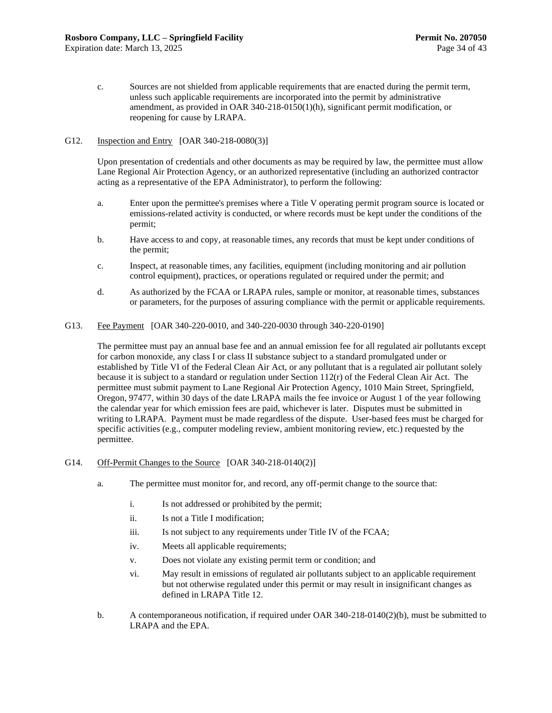c. Sources are not shielded from applicable requirements that are enacted during the permit term, unless such applicable requirements are incorporated into the permit by administrative amendment, as provided in OAR 340-218-0150(1)(h), significant permit modification, or reopening for cause by LRAPA.

#### G12. Inspection and Entry [OAR 340-218-0080(3)]

Upon presentation of credentials and other documents as may be required by law, the permittee must allow Lane Regional Air Protection Agency, or an authorized representative (including an authorized contractor acting as a representative of the EPA Administrator), to perform the following:

- a. Enter upon the permittee's premises where a Title V operating permit program source is located or emissions-related activity is conducted, or where records must be kept under the conditions of the permit;
- b. Have access to and copy, at reasonable times, any records that must be kept under conditions of the permit;
- c. Inspect, at reasonable times, any facilities, equipment (including monitoring and air pollution control equipment), practices, or operations regulated or required under the permit; and
- d. As authorized by the FCAA or LRAPA rules, sample or monitor, at reasonable times, substances or parameters, for the purposes of assuring compliance with the permit or applicable requirements.
- G13. Fee Payment [OAR 340-220-0010, and 340-220-0030 through 340-220-0190]

The permittee must pay an annual base fee and an annual emission fee for all regulated air pollutants except for carbon monoxide, any class I or class II substance subject to a standard promulgated under or established by Title VI of the Federal Clean Air Act, or any pollutant that is a regulated air pollutant solely because it is subject to a standard or regulation under Section  $112(r)$  of the Federal Clean Air Act. The permittee must submit payment to Lane Regional Air Protection Agency, 1010 Main Street, Springfield, Oregon, 97477, within 30 days of the date LRAPA mails the fee invoice or August 1 of the year following the calendar year for which emission fees are paid, whichever is later. Disputes must be submitted in writing to LRAPA. Payment must be made regardless of the dispute. User-based fees must be charged for specific activities (e.g., computer modeling review, ambient monitoring review, etc.) requested by the permittee.

- G14. Off-Permit Changes to the Source [OAR 340-218-0140(2)]
	- a. The permittee must monitor for, and record, any off-permit change to the source that:
		- i. Is not addressed or prohibited by the permit;
		- ii. Is not a Title I modification;
		- iii. Is not subject to any requirements under Title IV of the FCAA;
		- iv. Meets all applicable requirements;
		- v. Does not violate any existing permit term or condition; and
		- vi. May result in emissions of regulated air pollutants subject to an applicable requirement but not otherwise regulated under this permit or may result in insignificant changes as defined in LRAPA Title 12.
	- b. A contemporaneous notification, if required under OAR 340-218-0140(2)(b), must be submitted to LRAPA and the EPA.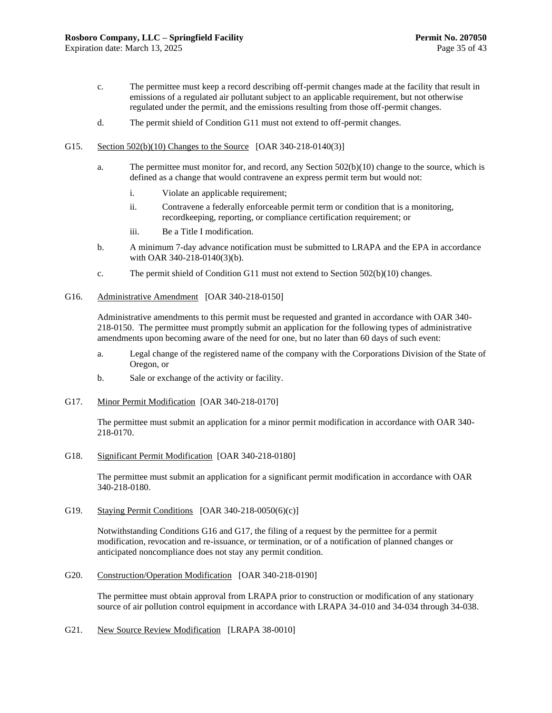- c. The permittee must keep a record describing off-permit changes made at the facility that result in emissions of a regulated air pollutant subject to an applicable requirement, but not otherwise regulated under the permit, and the emissions resulting from those off-permit changes.
- d. The permit shield of Condition G11 must not extend to off-permit changes.
- G15. Section 502(b)(10) Changes to the Source [OAR 340-218-0140(3)]
	- a. The permittee must monitor for, and record, any Section 502(b)(10) change to the source, which is defined as a change that would contravene an express permit term but would not:
		- i. Violate an applicable requirement;
		- ii. Contravene a federally enforceable permit term or condition that is a monitoring, recordkeeping, reporting, or compliance certification requirement; or
		- iii. Be a Title I modification.
	- b. A minimum 7-day advance notification must be submitted to LRAPA and the EPA in accordance with OAR 340-218-0140(3)(b).
	- c. The permit shield of Condition G11 must not extend to Section 502(b)(10) changes.
- <span id="page-38-0"></span>G16. Administrative Amendment [OAR 340-218-0150]

Administrative amendments to this permit must be requested and granted in accordance with OAR 340- 218-0150. The permittee must promptly submit an application for the following types of administrative amendments upon becoming aware of the need for one, but no later than 60 days of such event:

- a. Legal change of the registered name of the company with the Corporations Division of the State of Oregon, or
- b. Sale or exchange of the activity or facility.
- <span id="page-38-1"></span>G17. Minor Permit Modification [OAR 340-218-0170]

The permittee must submit an application for a minor permit modification in accordance with OAR 340- 218-0170.

G18. Significant Permit Modification [OAR 340-218-0180]

The permittee must submit an application for a significant permit modification in accordance with OAR 340-218-0180.

G19. Staying Permit Conditions [OAR 340-218-0050(6)(c)]

Notwithstanding Condition[s G16](#page-38-0) and [G17,](#page-38-1) the filing of a request by the permittee for a permit modification, revocation and re-issuance, or termination, or of a notification of planned changes or anticipated noncompliance does not stay any permit condition.

G20. Construction/Operation Modification [OAR 340-218-0190]

The permittee must obtain approval from LRAPA prior to construction or modification of any stationary source of air pollution control equipment in accordance with LRAPA 34-010 and 34-034 through 34-038.

G21. New Source Review Modification [LRAPA 38-0010]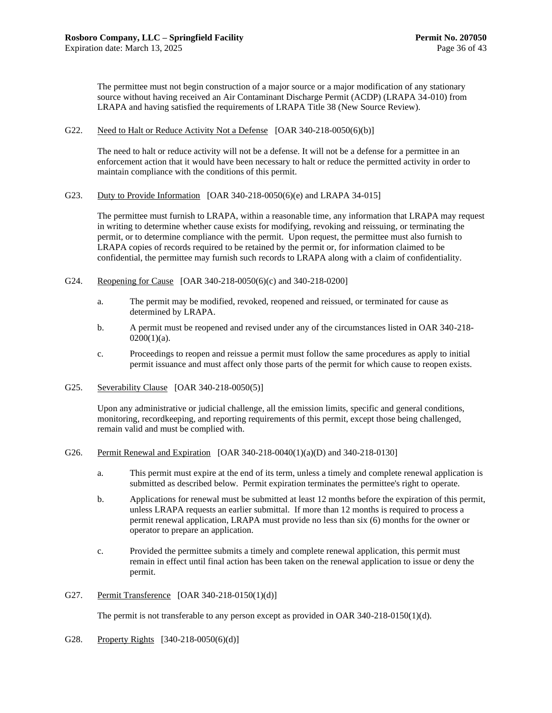The permittee must not begin construction of a major source or a major modification of any stationary source without having received an Air Contaminant Discharge Permit (ACDP) (LRAPA 34-010) from LRAPA and having satisfied the requirements of LRAPA Title 38 (New Source Review).

#### G22. Need to Halt or Reduce Activity Not a Defense [OAR 340-218-0050(6)(b)]

The need to halt or reduce activity will not be a defense. It will not be a defense for a permittee in an enforcement action that it would have been necessary to halt or reduce the permitted activity in order to maintain compliance with the conditions of this permit.

G23. Duty to Provide Information [OAR 340-218-0050(6)(e) and LRAPA 34-015]

The permittee must furnish to LRAPA, within a reasonable time, any information that LRAPA may request in writing to determine whether cause exists for modifying, revoking and reissuing, or terminating the permit, or to determine compliance with the permit. Upon request, the permittee must also furnish to LRAPA copies of records required to be retained by the permit or, for information claimed to be confidential, the permittee may furnish such records to LRAPA along with a claim of confidentiality.

- G24. Reopening for Cause [OAR 340-218-0050(6)(c) and 340-218-0200]
	- a. The permit may be modified, revoked, reopened and reissued, or terminated for cause as determined by LRAPA.
	- b. A permit must be reopened and revised under any of the circumstances listed in OAR 340-218-  $0200(1)(a)$ .
	- c. Proceedings to reopen and reissue a permit must follow the same procedures as apply to initial permit issuance and must affect only those parts of the permit for which cause to reopen exists.
- G25. Severability Clause [OAR 340-218-0050(5)]

Upon any administrative or judicial challenge, all the emission limits, specific and general conditions, monitoring, recordkeeping, and reporting requirements of this permit, except those being challenged, remain valid and must be complied with.

#### G26. Permit Renewal and Expiration [OAR 340-218-0040(1)(a)(D) and 340-218-0130]

- a. This permit must expire at the end of its term, unless a timely and complete renewal application is submitted as described below. Permit expiration terminates the permittee's right to operate.
- b. Applications for renewal must be submitted at least 12 months before the expiration of this permit, unless LRAPA requests an earlier submittal. If more than 12 months is required to process a permit renewal application, LRAPA must provide no less than six (6) months for the owner or operator to prepare an application.
- c. Provided the permittee submits a timely and complete renewal application, this permit must remain in effect until final action has been taken on the renewal application to issue or deny the permit.
- G27. Permit Transference [OAR 340-218-0150(1)(d)]

The permit is not transferable to any person except as provided in OAR 340-218-0150(1)(d).

G28. Property Rights [340-218-0050(6)(d)]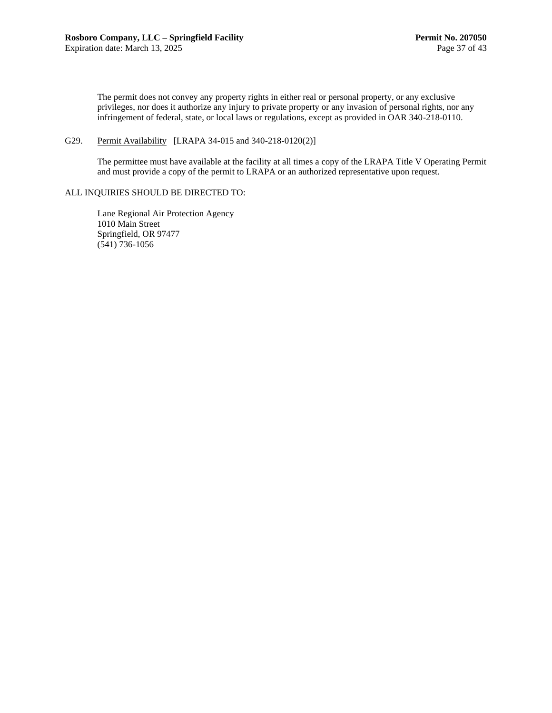The permit does not convey any property rights in either real or personal property, or any exclusive privileges, nor does it authorize any injury to private property or any invasion of personal rights, nor any infringement of federal, state, or local laws or regulations, except as provided in OAR 340-218-0110.

#### G29. Permit Availability [LRAPA 34-015 and 340-218-0120(2)]

The permittee must have available at the facility at all times a copy of the LRAPA Title V Operating Permit and must provide a copy of the permit to LRAPA or an authorized representative upon request.

#### ALL INQUIRIES SHOULD BE DIRECTED TO:

Lane Regional Air Protection Agency 1010 Main Street Springfield, OR 97477 (541) 736-1056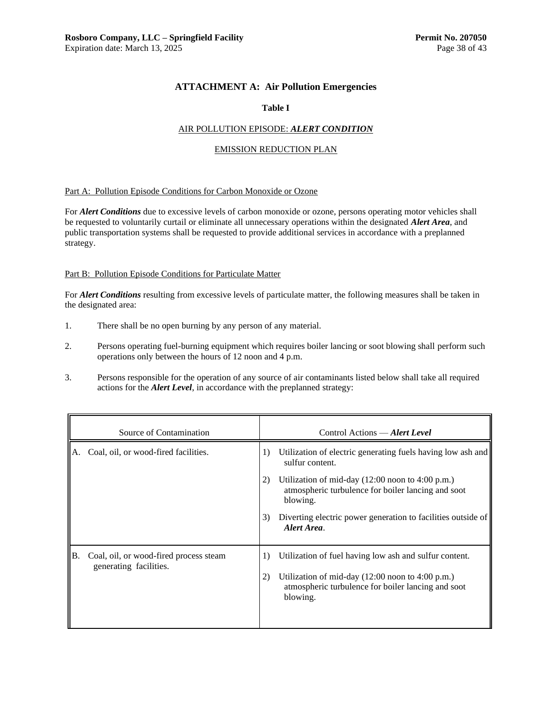## **ATTACHMENT A: Air Pollution Emergencies**

#### **Table I**

#### AIR POLLUTION EPISODE: *ALERT CONDITION*

#### EMISSION REDUCTION PLAN

#### Part A: Pollution Episode Conditions for Carbon Monoxide or Ozone

For *Alert Conditions* due to excessive levels of carbon monoxide or ozone, persons operating motor vehicles shall be requested to voluntarily curtail or eliminate all unnecessary operations within the designated *Alert Area*, and public transportation systems shall be requested to provide additional services in accordance with a preplanned strategy.

#### Part B: Pollution Episode Conditions for Particulate Matter

For *Alert Conditions* resulting from excessive levels of particulate matter, the following measures shall be taken in the designated area:

- 1. There shall be no open burning by any person of any material.
- 2. Persons operating fuel-burning equipment which requires boiler lancing or soot blowing shall perform such operations only between the hours of 12 noon and 4 p.m.
- 3. Persons responsible for the operation of any source of air contaminants listed below shall take all required actions for the *Alert Level*, in accordance with the preplanned strategy:

|    | Source of Contamination                                          |                | Control Actions — Alert Level                                                                                                                                                                                                                                                                          |
|----|------------------------------------------------------------------|----------------|--------------------------------------------------------------------------------------------------------------------------------------------------------------------------------------------------------------------------------------------------------------------------------------------------------|
| А. | Coal, oil, or wood-fired facilities.                             | 1)<br>2)<br>3) | Utilization of electric generating fuels having low ash and<br>sulfur content.<br>Utilization of mid-day $(12:00 \text{ noon to } 4:00 \text{ p.m.})$<br>atmospheric turbulence for boiler lancing and soot<br>blowing.<br>Diverting electric power generation to facilities outside of<br>Alert Area. |
| B. | Coal, oil, or wood-fired process steam<br>generating facilities. | 1)<br>2)       | Utilization of fuel having low ash and sulfur content.<br>Utilization of mid-day $(12:00 \text{ noon to } 4:00 \text{ p.m.})$<br>atmospheric turbulence for boiler lancing and soot<br>blowing.                                                                                                        |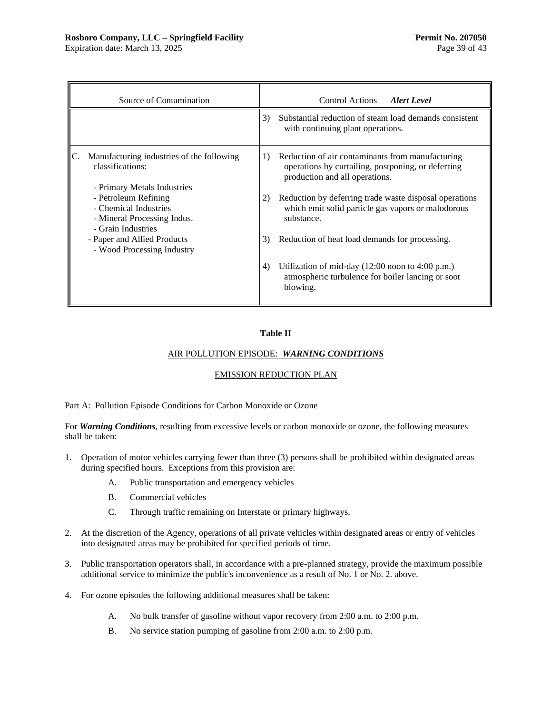Expiration date: March 13, 2025 Page 39 of 43

| Source of Contamination                                                                            |    | Control Actions — Alert Level                                                                                                            |
|----------------------------------------------------------------------------------------------------|----|------------------------------------------------------------------------------------------------------------------------------------------|
|                                                                                                    | 3) | Substantial reduction of steam load demands consistent<br>with continuing plant operations.                                              |
| Manufacturing industries of the following<br>classifications:<br>- Primary Metals Industries       | 1) | Reduction of air contaminants from manufacturing<br>operations by curtailing, postponing, or deferring<br>production and all operations. |
| - Petroleum Refining<br>- Chemical Industries<br>- Mineral Processing Indus.<br>- Grain Industries | 2) | Reduction by deferring trade waste disposal operations<br>which emit solid particle gas vapors or malodorous<br>substance.               |
| - Paper and Allied Products<br>- Wood Processing Industry                                          | 3) | Reduction of heat load demands for processing.                                                                                           |
|                                                                                                    | 4) | Utilization of mid-day $(12:00 \text{ noon to } 4:00 \text{ p.m.})$<br>atmospheric turbulence for boiler lancing or soot<br>blowing.     |

## **Table II**

## AIR POLLUTION EPISODE: *WARNING CONDITIONS*

#### EMISSION REDUCTION PLAN

### Part A: Pollution Episode Conditions for Carbon Monoxide or Ozone

For *Warning Conditions*, resulting from excessive levels or carbon monoxide or ozone, the following measures shall be taken:

- 1. Operation of motor vehicles carrying fewer than three (3) persons shall be prohibited within designated areas during specified hours. Exceptions from this provision are:
	- A. Public transportation and emergency vehicles
	- B. Commercial vehicles
	- C. Through traffic remaining on Interstate or primary highways.
- 2. At the discretion of the Agency, operations of all private vehicles within designated areas or entry of vehicles into designated areas may be prohibited for specified periods of time.
- 3. Public transportation operators shall, in accordance with a pre-planned strategy, provide the maximum possible additional service to minimize the public's inconvenience as a result of No. 1 or No. 2. above.
- 4. For ozone episodes the following additional measures shall be taken:
	- A. No bulk transfer of gasoline without vapor recovery from 2:00 a.m. to 2:00 p.m.
	- B. No service station pumping of gasoline from 2:00 a.m. to 2:00 p.m.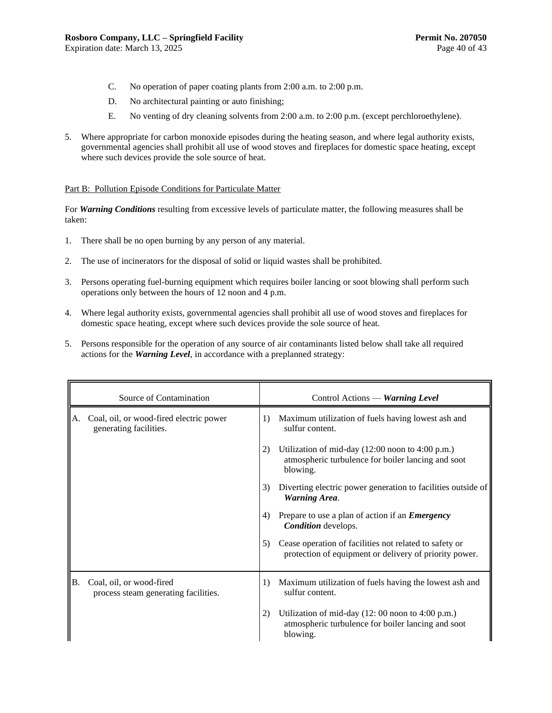- C. No operation of paper coating plants from 2:00 a.m. to 2:00 p.m.
- D. No architectural painting or auto finishing;
- E. No venting of dry cleaning solvents from 2:00 a.m. to 2:00 p.m. (except perchloroethylene).
- 5. Where appropriate for carbon monoxide episodes during the heating season, and where legal authority exists, governmental agencies shall prohibit all use of wood stoves and fireplaces for domestic space heating, except where such devices provide the sole source of heat.

#### Part B: Pollution Episode Conditions for Particulate Matter

For *Warning Conditions* resulting from excessive levels of particulate matter, the following measures shall be taken:

- 1. There shall be no open burning by any person of any material.
- 2. The use of incinerators for the disposal of solid or liquid wastes shall be prohibited.
- 3. Persons operating fuel-burning equipment which requires boiler lancing or soot blowing shall perform such operations only between the hours of 12 noon and 4 p.m.
- 4. Where legal authority exists, governmental agencies shall prohibit all use of wood stoves and fireplaces for domestic space heating, except where such devices provide the sole source of heat.
- 5. Persons responsible for the operation of any source of air contaminants listed below shall take all required actions for the *Warning Level*, in accordance with a preplanned strategy:

|     | Source of Contamination                                           |    | Control Actions — Warning Level                                                                                                       |
|-----|-------------------------------------------------------------------|----|---------------------------------------------------------------------------------------------------------------------------------------|
| A.  | Coal, oil, or wood-fired electric power<br>generating facilities. | 1) | Maximum utilization of fuels having lowest ash and<br>sulfur content.                                                                 |
|     |                                                                   | 2) | Utilization of mid-day $(12:00 \text{ noon to } 4:00 \text{ p.m.})$<br>atmospheric turbulence for boiler lancing and soot<br>blowing. |
|     |                                                                   | 3) | Diverting electric power generation to facilities outside of<br><b>Warning Area.</b>                                                  |
|     |                                                                   | 4) | Prepare to use a plan of action if an <i>Emergency</i><br><b>Condition</b> develops.                                                  |
|     |                                                                   | 5) | Cease operation of facilities not related to safety or<br>protection of equipment or delivery of priority power.                      |
| IB. | Coal, oil, or wood-fired<br>process steam generating facilities.  | 1) | Maximum utilization of fuels having the lowest ash and<br>sulfur content.                                                             |
|     |                                                                   | 2) | Utilization of mid-day (12: 00 noon to 4:00 p.m.)<br>atmospheric turbulence for boiler lancing and soot<br>blowing.                   |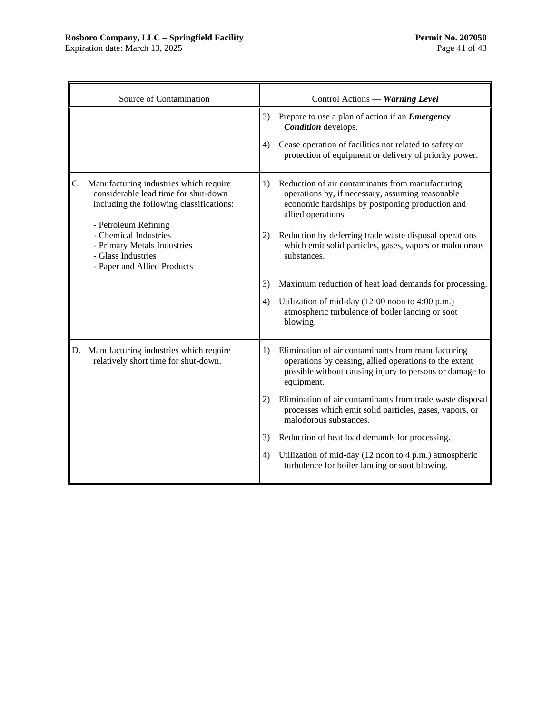## **Rosboro Company, LLC – Springfield Facility Permit No. 207050**

Expiration date: March 13, 2025 **Page 41** of 43

|    | Source of Contamination                                                                                                                                                                                                                                         |          | Control Actions - Warning Level                                                                                                                                                                                                                                                                                   |
|----|-----------------------------------------------------------------------------------------------------------------------------------------------------------------------------------------------------------------------------------------------------------------|----------|-------------------------------------------------------------------------------------------------------------------------------------------------------------------------------------------------------------------------------------------------------------------------------------------------------------------|
|    |                                                                                                                                                                                                                                                                 | 3)       | Prepare to use a plan of action if an <i>Emergency</i><br>Condition develops.                                                                                                                                                                                                                                     |
|    |                                                                                                                                                                                                                                                                 | 4)       | Cease operation of facilities not related to safety or<br>protection of equipment or delivery of priority power.                                                                                                                                                                                                  |
| C. | Manufacturing industries which require<br>considerable lead time for shut-down<br>including the following classifications:<br>- Petroleum Refining<br>- Chemical Industries<br>- Primary Metals Industries<br>- Glass Industries<br>- Paper and Allied Products | 1)<br>2) | Reduction of air contaminants from manufacturing<br>operations by, if necessary, assuming reasonable<br>economic hardships by postponing production and<br>allied operations.<br>Reduction by deferring trade waste disposal operations<br>which emit solid particles, gases, vapors or malodorous<br>substances. |
|    |                                                                                                                                                                                                                                                                 | 3)       | Maximum reduction of heat load demands for processing.                                                                                                                                                                                                                                                            |
|    |                                                                                                                                                                                                                                                                 | 4)       | Utilization of mid-day (12:00 noon to 4:00 p.m.)<br>atmospheric turbulence of boiler lancing or soot<br>blowing.                                                                                                                                                                                                  |
|    | D. Manufacturing industries which require<br>relatively short time for shut-down.                                                                                                                                                                               | 1)       | Elimination of air contaminants from manufacturing<br>operations by ceasing, allied operations to the extent<br>possible without causing injury to persons or damage to<br>equipment.                                                                                                                             |
|    |                                                                                                                                                                                                                                                                 | 2)       | Elimination of air contaminants from trade waste disposal<br>processes which emit solid particles, gases, vapors, or<br>malodorous substances.                                                                                                                                                                    |
|    |                                                                                                                                                                                                                                                                 | 3)       | Reduction of heat load demands for processing.                                                                                                                                                                                                                                                                    |
|    |                                                                                                                                                                                                                                                                 | 4)       | Utilization of mid-day (12 noon to 4 p.m.) atmospheric<br>turbulence for boiler lancing or soot blowing.                                                                                                                                                                                                          |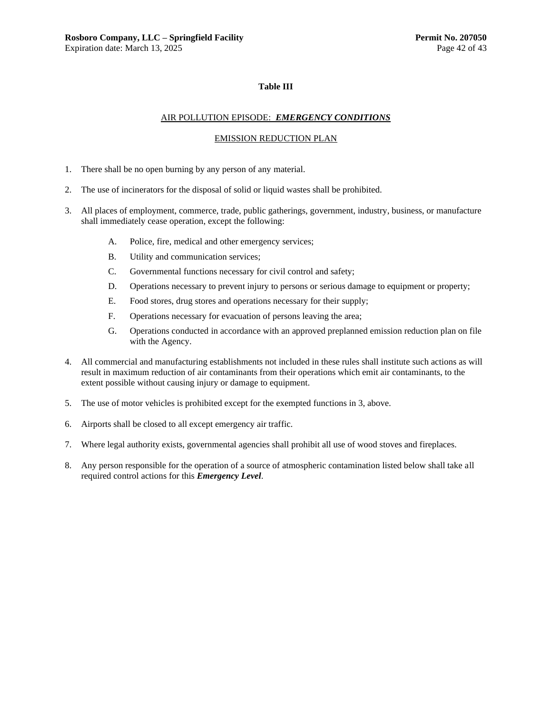#### **Table III**

#### AIR POLLUTION EPISODE: *EMERGENCY CONDITIONS*

#### EMISSION REDUCTION PLAN

- 1. There shall be no open burning by any person of any material.
- 2. The use of incinerators for the disposal of solid or liquid wastes shall be prohibited.
- 3. All places of employment, commerce, trade, public gatherings, government, industry, business, or manufacture shall immediately cease operation, except the following:
	- A. Police, fire, medical and other emergency services;
	- B. Utility and communication services;
	- C. Governmental functions necessary for civil control and safety;
	- D. Operations necessary to prevent injury to persons or serious damage to equipment or property;
	- E. Food stores, drug stores and operations necessary for their supply;
	- F. Operations necessary for evacuation of persons leaving the area;
	- G. Operations conducted in accordance with an approved preplanned emission reduction plan on file with the Agency.
- 4. All commercial and manufacturing establishments not included in these rules shall institute such actions as will result in maximum reduction of air contaminants from their operations which emit air contaminants, to the extent possible without causing injury or damage to equipment.
- 5. The use of motor vehicles is prohibited except for the exempted functions in 3, above.
- 6. Airports shall be closed to all except emergency air traffic.
- 7. Where legal authority exists, governmental agencies shall prohibit all use of wood stoves and fireplaces.
- 8. Any person responsible for the operation of a source of atmospheric contamination listed below shall take all required control actions for this *Emergency Level*.